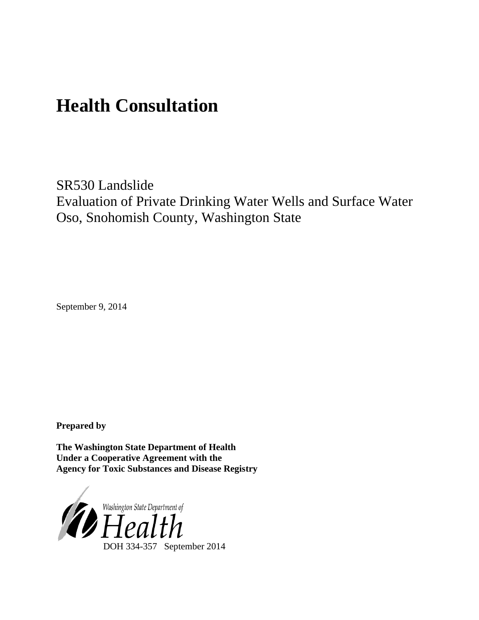# **Health Consultation**

# SR530 Landslide Evaluation of Private Drinking Water Wells and Surface Water Oso, Snohomish County, Washington State

September 9, 2014

**Prepared by**

**The Washington State Department of Health Under a Cooperative Agreement with the Agency for Toxic Substances and Disease Registry**

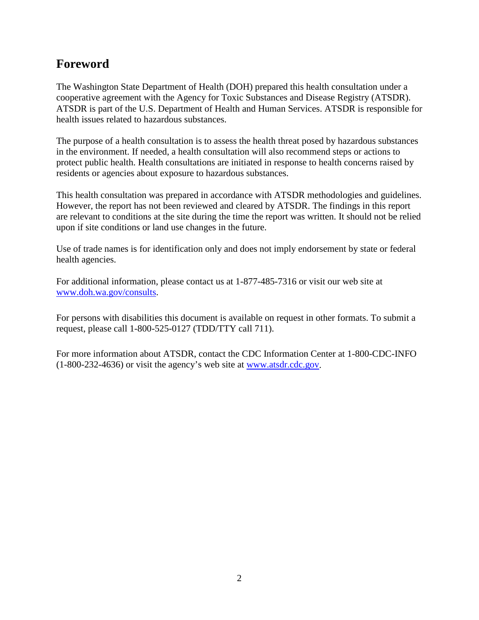## <span id="page-1-0"></span>**Foreword**

The Washington State Department of Health (DOH) prepared this health consultation under a cooperative agreement with the Agency for Toxic Substances and Disease Registry (ATSDR). ATSDR is part of the U.S. Department of Health and Human Services. ATSDR is responsible for health issues related to hazardous substances.

The purpose of a health consultation is to assess the health threat posed by hazardous substances in the environment. If needed, a health consultation will also recommend steps or actions to protect public health. Health consultations are initiated in response to health concerns raised by residents or agencies about exposure to hazardous substances.

This health consultation was prepared in accordance with ATSDR methodologies and guidelines. However, the report has not been reviewed and cleared by ATSDR. The findings in this report are relevant to conditions at the site during the time the report was written. It should not be relied upon if site conditions or land use changes in the future.

Use of trade names is for identification only and does not imply endorsement by state or federal health agencies.

For additional information, please contact us at 1-877-485-7316 or visit our web site at [www.doh.wa.gov/consults.](http://www.doh.wa.gov/consults)

For persons with disabilities this document is available on request in other formats. To submit a request, please call 1-800-525-0127 (TDD/TTY call 711).

For more information about ATSDR, contact the CDC Information Center at 1-800-CDC-INFO (1-800-232-4636) or visit the agency's web site at [www.atsdr.cdc.gov.](http://www.atsdr.cdc.gov/)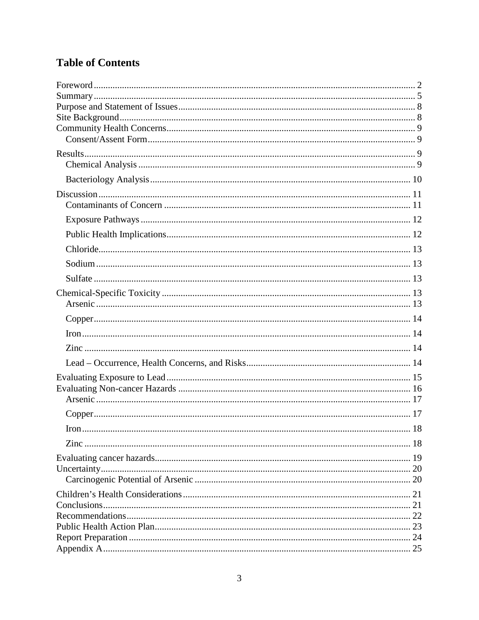# **Table of Contents**

| 21 |
|----|
|    |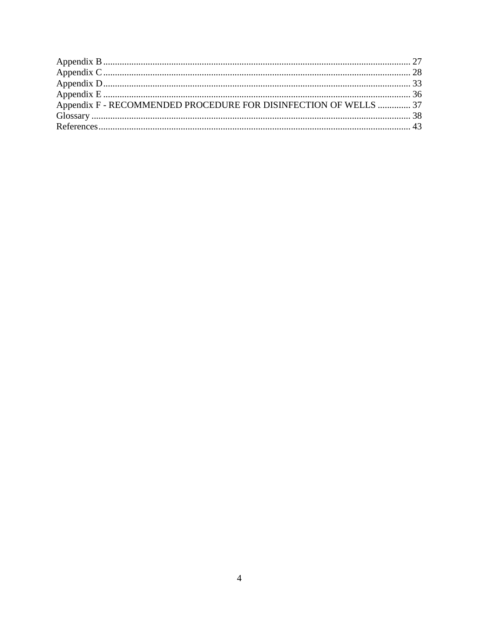| Appendix F - RECOMMENDED PROCEDURE FOR DISINFECTION OF WELLS  37 |  |
|------------------------------------------------------------------|--|
|                                                                  |  |
|                                                                  |  |
|                                                                  |  |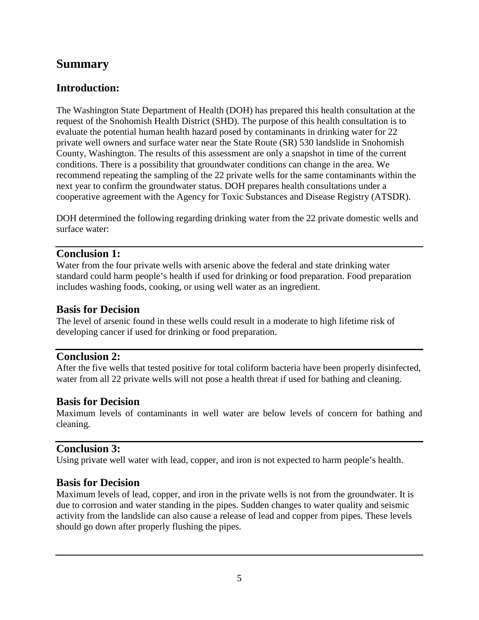## <span id="page-4-0"></span>**Summary**

### **Introduction:**

The Washington State Department of Health (DOH) has prepared this health consultation at the request of the Snohomish Health District (SHD). The purpose of this health consultation is to evaluate the potential human health hazard posed by contaminants in drinking water for 22 private well owners and surface water near the State Route (SR) 530 landslide in Snohomish County, Washington. The results of this assessment are only a snapshot in time of the current conditions. There is a possibility that groundwater conditions can change in the area. We recommend repeating the sampling of the 22 private wells for the same contaminants within the next year to confirm the groundwater status. DOH prepares health consultations under a cooperative agreement with the Agency for Toxic Substances and Disease Registry (ATSDR).

DOH determined the following regarding drinking water from the 22 private domestic wells and surface water:

#### **Conclusion 1:**

Water from the four private wells with arsenic above the federal and state drinking water standard could harm people's health if used for drinking or food preparation. Food preparation includes washing foods, cooking, or using well water as an ingredient.

#### **Basis for Decision**

The level of arsenic found in these wells could result in a moderate to high lifetime risk of developing cancer if used for drinking or food preparation.

#### **Conclusion 2:**

After the five wells that tested positive for total coliform bacteria have been properly disinfected, water from all 22 private wells will not pose a health threat if used for bathing and cleaning.

#### **Basis for Decision**

Maximum levels of contaminants in well water are below levels of concern for bathing and cleaning.

#### **Conclusion 3:**

Using private well water with lead, copper, and iron is not expected to harm people's health.

#### **Basis for Decision**

Maximum levels of lead, copper, and iron in the private wells is not from the groundwater. It is due to corrosion and water standing in the pipes. Sudden changes to water quality and seismic activity from the landslide can also cause a release of lead and copper from pipes. These levels should go down after properly flushing the pipes.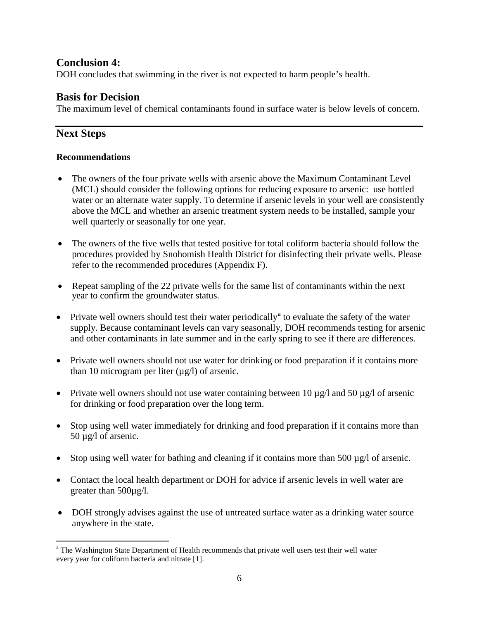#### **Conclusion 4:**

DOH concludes that swimming in the river is not expected to harm people's health.

#### **Basis for Decision**

The maximum level of chemical contaminants found in surface water is below levels of concern.

### **Next Steps**

#### **Recommendations**

- The owners of the four private wells with arsenic above the Maximum Contaminant Level (MCL) should consider the following options for reducing exposure to arsenic: use bottled water or an alternate water supply. To determine if arsenic levels in your well are consistently above the MCL and whether an arsenic treatment system needs to be installed, sample your well quarterly or seasonally for one year.
- The owners of the five wells that tested positive for total coliform bacteria should follow the procedures provided by Snohomish Health District for disinfecting their private wells. Please refer to the recommended procedures (Appendix F).
- Repeat sampling of the 22 private wells for the same list of contaminants within the next year to confirm the groundwater status.
- Priv[a](#page-5-0)te well owners should test their water periodically<sup>a</sup> to evaluate the safety of the water supply. Because contaminant levels can vary seasonally, DOH recommends testing for arsenic and other contaminants in late summer and in the early spring to see if there are differences.
- Private well owners should not use water for drinking or food preparation if it contains more than 10 microgram per liter  $(\mu g/l)$  of arsenic.
- Private well owners should not use water containing between 10  $\mu$ g/l and 50  $\mu$ g/l of arsenic for drinking or food preparation over the long term.
- Stop using well water immediately for drinking and food preparation if it contains more than 50 µg/l of arsenic.
- Stop using well water for bathing and cleaning if it contains more than  $500 \mu g/l$  of arsenic.
- Contact the local health department or DOH for advice if arsenic levels in well water are greater than 500µg/l.
- DOH strongly advises against the use of untreated surface water as a drinking water source anywhere in the state.

<span id="page-5-0"></span><sup>&</sup>lt;sup>a</sup> The Washington State Department of Health recommends that private well users test their well water every year for coliform bacteria and nitrate [1].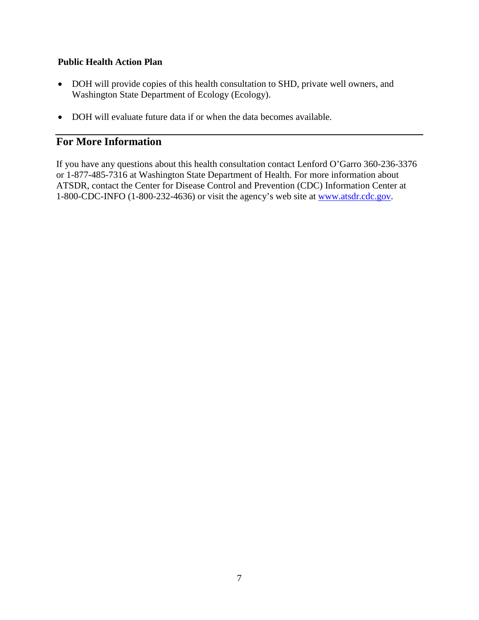#### **Public Health Action Plan**

- DOH will provide copies of this health consultation to SHD, private well owners, and Washington State Department of Ecology (Ecology).
- DOH will evaluate future data if or when the data becomes available.

### **For More Information**

If you have any questions about this health consultation contact Lenford O'Garro 360-236-3376 or 1-877-485-7316 at Washington State Department of Health. For more information about ATSDR, contact the Center for Disease Control and Prevention (CDC) Information Center at 1-800-CDC-INFO (1-800-232-4636) or visit the agency's web site at [www.atsdr.cdc.gov.](http://www.atsdr.cdc.gov/)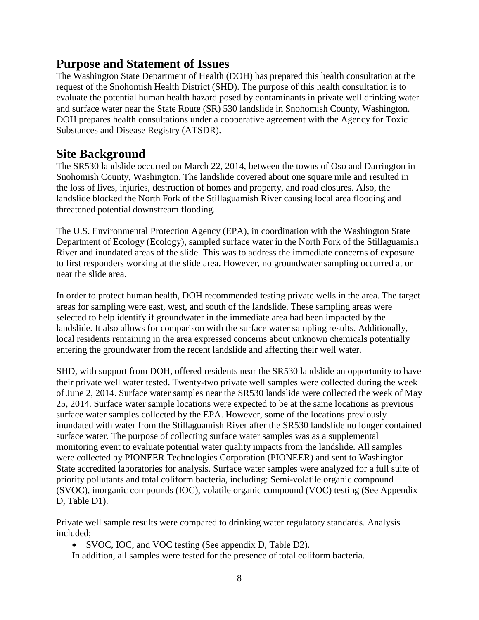### <span id="page-7-0"></span>**Purpose and Statement of Issues**

The Washington State Department of Health (DOH) has prepared this health consultation at the request of the Snohomish Health District (SHD). The purpose of this health consultation is to evaluate the potential human health hazard posed by contaminants in private well drinking water and surface water near the State Route (SR) 530 landslide in Snohomish County, Washington. DOH prepares health consultations under a cooperative agreement with the Agency for Toxic Substances and Disease Registry (ATSDR).

### <span id="page-7-1"></span>**Site Background**

The SR530 landslide occurred on March 22, 2014, between the towns of Oso and Darrington in Snohomish County, Washington. The landslide covered about one square mile and resulted in the loss of lives, injuries, destruction of homes and property, and road closures. Also, the landslide blocked the North Fork of the Stillaguamish River causing local area flooding and threatened potential downstream flooding.

The U.S. Environmental Protection Agency (EPA), in coordination with the Washington State Department of Ecology (Ecology), sampled surface water in the North Fork of the Stillaguamish River and inundated areas of the slide. This was to address the immediate concerns of exposure to first responders working at the slide area. However, no groundwater sampling occurred at or near the slide area.

In order to protect human health, DOH recommended testing private wells in the area. The target areas for sampling were east, west, and south of the landslide. These sampling areas were selected to help identify if groundwater in the immediate area had been impacted by the landslide. It also allows for comparison with the surface water sampling results. Additionally, local residents remaining in the area expressed concerns about unknown chemicals potentially entering the groundwater from the recent landslide and affecting their well water.

SHD, with support from DOH, offered residents near the SR530 landslide an opportunity to have their private well water tested. Twenty-two private well samples were collected during the week of June 2, 2014. Surface water samples near the SR530 landslide were collected the week of May 25, 2014. Surface water sample locations were expected to be at the same locations as previous surface water samples collected by the EPA. However, some of the locations previously inundated with water from the Stillaguamish River after the SR530 landslide no longer contained surface water. The purpose of collecting surface water samples was as a supplemental monitoring event to evaluate potential water quality impacts from the landslide. All samples were collected by PIONEER Technologies Corporation (PIONEER) and sent to Washington State accredited laboratories for analysis. Surface water samples were analyzed for a full suite of priority pollutants and total coliform bacteria, including: Semi-volatile organic compound (SVOC), inorganic compounds (IOC), volatile organic compound (VOC) testing (See Appendix D, Table D1).

Private well sample results were compared to drinking water regulatory standards. Analysis included;

• SVOC, IOC, and VOC testing (See appendix D, Table D2).

In addition, all samples were tested for the presence of total coliform bacteria.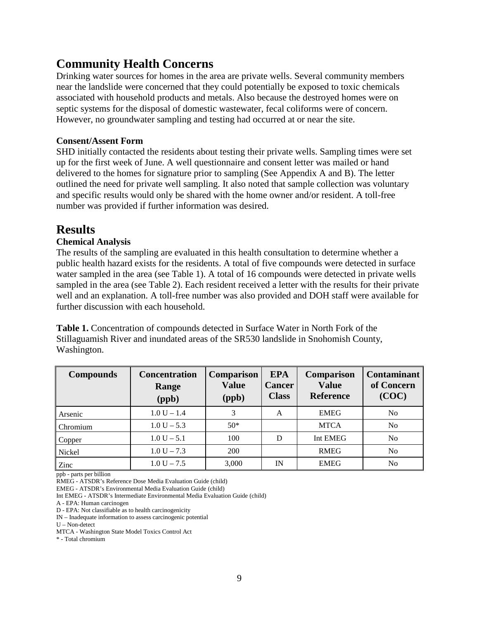# <span id="page-8-0"></span>**Community Health Concerns**

Drinking water sources for homes in the area are private wells. Several community members near the landslide were concerned that they could potentially be exposed to toxic chemicals associated with household products and metals. Also because the destroyed homes were on septic systems for the disposal of domestic wastewater, fecal coliforms were of concern. However, no groundwater sampling and testing had occurred at or near the site.

#### <span id="page-8-1"></span>**Consent/Assent Form**

SHD initially contacted the residents about testing their private wells. Sampling times were set up for the first week of June. A well questionnaire and consent letter was mailed or hand delivered to the homes for signature prior to sampling (See Appendix A and B). The letter outlined the need for private well sampling. It also noted that sample collection was voluntary and specific results would only be shared with the home owner and/or resident. A toll-free number was provided if further information was desired.

### <span id="page-8-2"></span>**Results**

#### <span id="page-8-3"></span>**Chemical Analysis**

The results of the sampling are evaluated in this health consultation to determine whether a public health hazard exists for the residents. A total of five compounds were detected in surface water sampled in the area (see Table 1). A total of 16 compounds were detected in private wells sampled in the area (see Table 2). Each resident received a letter with the results for their private well and an explanation. A toll-free number was also provided and DOH staff were available for further discussion with each household.

**Table 1.** Concentration of compounds detected in Surface Water in North Fork of the Stillaguamish River and inundated areas of the SR530 landslide in Snohomish County, Washington.

| <b>Compounds</b> | <b>Concentration</b><br>Range<br>(ppb) | <b>Comparison</b><br><b>Value</b><br>(ppb) | <b>EPA</b><br><b>Cancer</b><br><b>Class</b> | <b>Comparison</b><br><b>Value</b><br><b>Reference</b> | <b>Contaminant</b><br>of Concern<br>(COC) |
|------------------|----------------------------------------|--------------------------------------------|---------------------------------------------|-------------------------------------------------------|-------------------------------------------|
| Arsenic          | $1.0 U - 1.4$                          | 3                                          | A                                           | <b>EMEG</b>                                           | N <sub>0</sub>                            |
| Chromium         | $1.0 U - 5.3$                          | $50*$                                      |                                             | <b>MTCA</b>                                           | N <sub>0</sub>                            |
| Copper           | $1.0 U - 5.1$                          | 100                                        | D                                           | Int EMEG                                              | N <sub>0</sub>                            |
| Nickel           | $1.0 U - 7.3$                          | 200                                        |                                             | <b>RMEG</b>                                           | N <sub>0</sub>                            |
| Zinc             | $1.0 U - 7.5$                          | 3,000                                      | IN                                          | <b>EMEG</b>                                           | No                                        |

ppb - parts per billion

U – Non-detect

```
* - Total chromium
```
RMEG - ATSDR's Reference Dose Media Evaluation Guide (child)

EMEG - ATSDR's Environmental Media Evaluation Guide (child)

Int EMEG - ATSDR's Intermediate Environmental Media Evaluation Guide (child)

A - EPA: Human carcinogen

D - EPA: Not classifiable as to health carcinogenicity

IN – Inadequate information to assess carcinogenic potential

MTCA - Washington State Model Toxics Control Act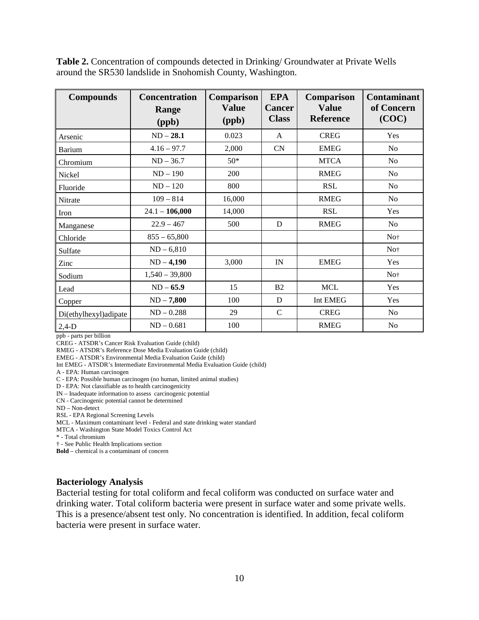**Table 2.** Concentration of compounds detected in Drinking/ Groundwater at Private Wells around the SR530 landslide in Snohomish County, Washington.

| <b>Compounds</b>      | <b>Concentration</b><br>Range<br>(ppb) | Comparison<br><b>Value</b><br>(ppb) | <b>EPA</b><br><b>Cancer</b><br><b>Class</b> | <b>Comparison</b><br><b>Value</b><br><b>Reference</b> | <b>Contaminant</b><br>of Concern<br>(COC) |
|-----------------------|----------------------------------------|-------------------------------------|---------------------------------------------|-------------------------------------------------------|-------------------------------------------|
| Arsenic               | $ND - 28.1$                            | 0.023                               | A                                           | <b>CREG</b>                                           | Yes                                       |
| <b>Barium</b>         | $4.16 - 97.7$                          | 2,000                               | CN                                          | <b>EMEG</b>                                           | N <sub>o</sub>                            |
| Chromium              | $ND - 36.7$                            | $50*$                               |                                             | <b>MTCA</b>                                           | No                                        |
| Nickel                | $ND - 190$                             | 200                                 |                                             | <b>RMEG</b>                                           | No                                        |
| Fluoride              | $ND - 120$                             | 800                                 |                                             | <b>RSL</b>                                            | No                                        |
| Nitrate               | $109 - 814$                            | 16,000                              |                                             | <b>RMEG</b>                                           | <b>No</b>                                 |
| Iron                  | $24.1 - 106,000$                       | 14,000                              |                                             | <b>RSL</b>                                            | Yes                                       |
| Manganese             | $22.9 - 467$                           | 500                                 | D                                           | <b>RMEG</b>                                           | No                                        |
| Chloride              | $855 - 65,800$                         |                                     |                                             |                                                       | No <sub>†</sub>                           |
| Sulfate               | $ND - 6,810$                           |                                     |                                             |                                                       | No <sup>+</sup>                           |
| Zinc                  | $ND - 4,190$                           | 3,000                               | IN                                          | <b>EMEG</b>                                           | Yes                                       |
| Sodium                | $1,540 - 39,800$                       |                                     |                                             |                                                       | No <sup>+</sup>                           |
| Lead                  | $ND - 65.9$                            | 15                                  | B <sub>2</sub>                              | <b>MCL</b>                                            | Yes                                       |
| Copper                | $ND - 7,800$                           | 100                                 | D                                           | Int EMEG                                              | Yes                                       |
| Di(ethylhexyl)adipate | $ND - 0.288$                           | 29                                  | $\mathbf C$                                 | <b>CREG</b>                                           | No                                        |
| $2,4-D$               | $ND - 0.681$                           | 100                                 |                                             | <b>RMEG</b>                                           | N <sub>o</sub>                            |

ppb - parts per billion

CREG - ATSDR's Cancer Risk Evaluation Guide (child)

RMEG - ATSDR's Reference Dose Media Evaluation Guide (child)

EMEG - ATSDR's Environmental Media Evaluation Guide (child)

Int EMEG - ATSDR's Intermediate Environmental Media Evaluation Guide (child)

A - EPA: Human carcinogen

C - EPA: Possible human carcinogen (no human, limited animal studies)

D - EPA: Not classifiable as to health carcinogenicity

IN – Inadequate information to assess carcinogenic potential

CN - Carcinogenic potential cannot be determined

ND – Non-detect

RSL - EPA Regional Screening Levels

MCL - Maximum contaminant level - Federal and state drinking water standard

MTCA - Washington State Model Toxics Control Act

\* - Total chromium

† - See Public Health Implications section

**Bold** – chemical is a contaminant of concern

#### <span id="page-9-0"></span>**Bacteriology Analysis**

Bacterial testing for total coliform and fecal coliform was conducted on surface water and drinking water. Total coliform bacteria were present in surface water and some private wells. This is a presence/absent test only. No concentration is identified. In addition, fecal coliform bacteria were present in surface water.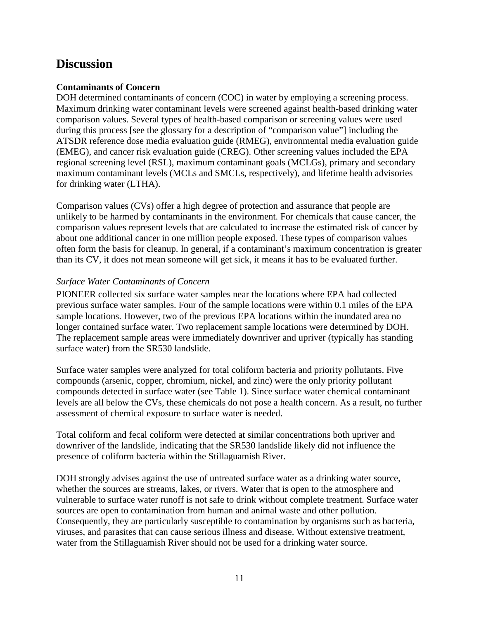### <span id="page-10-0"></span>**Discussion**

#### <span id="page-10-1"></span>**Contaminants of Concern**

DOH determined contaminants of concern (COC) in water by employing a screening process. Maximum drinking water contaminant levels were screened against health-based drinking water comparison values. Several types of health-based comparison or screening values were used during this process [see the glossary for a description of "comparison value"] including the ATSDR reference dose media evaluation guide (RMEG), environmental media evaluation guide (EMEG), and cancer risk evaluation guide (CREG). Other screening values included the EPA regional screening level (RSL), maximum contaminant goals (MCLGs), primary and secondary maximum contaminant levels (MCLs and SMCLs, respectively), and lifetime health advisories for drinking water (LTHA).

Comparison values (CVs) offer a high degree of protection and assurance that people are unlikely to be harmed by contaminants in the environment. For chemicals that cause cancer, the comparison values represent levels that are calculated to increase the estimated risk of cancer by about one additional cancer in one million people exposed. These types of comparison values often form the basis for cleanup. In general, if a contaminant's maximum concentration is greater than its CV, it does not mean someone will get sick, it means it has to be evaluated further.

#### *Surface Water Contaminants of Concern*

PIONEER collected six surface water samples near the locations where EPA had collected previous surface water samples. Four of the sample locations were within 0.1 miles of the EPA sample locations. However, two of the previous EPA locations within the inundated area no longer contained surface water. Two replacement sample locations were determined by DOH. The replacement sample areas were immediately downriver and upriver (typically has standing surface water) from the SR530 landslide.

Surface water samples were analyzed for total coliform bacteria and priority pollutants. Five compounds (arsenic, copper, chromium, nickel, and zinc) were the only priority pollutant compounds detected in surface water (see Table 1). Since surface water chemical contaminant levels are all below the CVs, these chemicals do not pose a health concern. As a result, no further assessment of chemical exposure to surface water is needed.

Total coliform and fecal coliform were detected at similar concentrations both upriver and downriver of the landslide, indicating that the SR530 landslide likely did not influence the presence of coliform bacteria within the Stillaguamish River.

DOH strongly advises against the use of untreated surface water as a drinking water source, whether the sources are streams, lakes, or rivers. Water that is open to the atmosphere and vulnerable to surface water runoff is not safe to drink without complete treatment. Surface water sources are open to contamination from human and animal waste and other pollution. Consequently, they are particularly susceptible to contamination by organisms such as bacteria, viruses, and parasites that can cause serious illness and disease. Without extensive treatment, water from the Stillaguamish River should not be used for a drinking water source.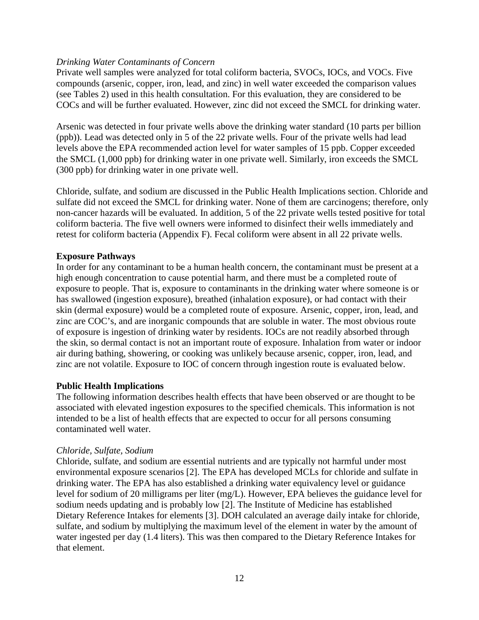#### *Drinking Water Contaminants of Concern*

Private well samples were analyzed for total coliform bacteria, SVOCs, IOCs, and VOCs. Five compounds (arsenic, copper, iron, lead, and zinc) in well water exceeded the comparison values (see Tables 2) used in this health consultation. For this evaluation, they are considered to be COCs and will be further evaluated. However, zinc did not exceed the SMCL for drinking water.

Arsenic was detected in four private wells above the drinking water standard (10 parts per billion (ppb)). Lead was detected only in 5 of the 22 private wells. Four of the private wells had lead levels above the EPA recommended action level for water samples of 15 ppb. Copper exceeded the SMCL (1,000 ppb) for drinking water in one private well. Similarly, iron exceeds the SMCL (300 ppb) for drinking water in one private well.

Chloride, sulfate, and sodium are discussed in the Public Health Implications section. Chloride and sulfate did not exceed the SMCL for drinking water. None of them are carcinogens; therefore, only non-cancer hazards will be evaluated. In addition, 5 of the 22 private wells tested positive for total coliform bacteria. The five well owners were informed to disinfect their wells immediately and retest for coliform bacteria (Appendix F). Fecal coliform were absent in all 22 private wells.

#### <span id="page-11-0"></span>**Exposure Pathways**

In order for any contaminant to be a human health concern, the contaminant must be present at a high enough concentration to cause potential harm, and there must be a completed route of exposure to people. That is, exposure to contaminants in the drinking water where someone is or has swallowed (ingestion exposure), breathed (inhalation exposure), or had contact with their skin (dermal exposure) would be a completed route of exposure. Arsenic, copper, iron, lead, and zinc are COC's, and are inorganic compounds that are soluble in water. The most obvious route of exposure is ingestion of drinking water by residents. IOCs are not readily absorbed through the skin, so dermal contact is not an important route of exposure. Inhalation from water or indoor air during bathing, showering, or cooking was unlikely because arsenic, copper, iron, lead, and zinc are not volatile. Exposure to IOC of concern through ingestion route is evaluated below.

#### <span id="page-11-1"></span>**Public Health Implications**

The following information describes health effects that have been observed or are thought to be associated with elevated ingestion exposures to the specified chemicals. This information is not intended to be a list of health effects that are expected to occur for all persons consuming contaminated well water.

#### *Chloride, Sulfate, Sodium*

Chloride, sulfate, and sodium are essential nutrients and are typically not harmful under most environmental exposure scenarios [2]. The EPA has developed MCLs for chloride and sulfate in drinking water. The EPA has also established a drinking water equivalency level or guidance level for sodium of 20 milligrams per liter (mg/L). However, EPA believes the guidance level for sodium needs updating and is probably low [2]. The Institute of Medicine has established Dietary Reference Intakes for elements [3]. DOH calculated an average daily intake for chloride, sulfate, and sodium by multiplying the maximum level of the element in water by the amount of water ingested per day (1.4 liters). This was then compared to the Dietary Reference Intakes for that element.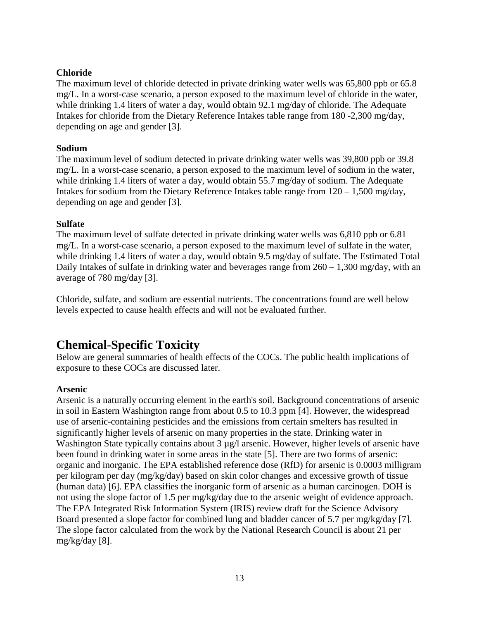#### <span id="page-12-0"></span>**Chloride**

The maximum level of chloride detected in private drinking water wells was 65,800 ppb or 65.8 mg/L. In a worst-case scenario, a person exposed to the maximum level of chloride in the water, while drinking 1.4 liters of water a day, would obtain 92.1 mg/day of chloride. The Adequate Intakes for chloride from the Dietary Reference Intakes table range from 180 -2,300 mg/day, depending on age and gender [3].

#### <span id="page-12-1"></span>**Sodium**

The maximum level of sodium detected in private drinking water wells was 39,800 ppb or 39.8 mg/L. In a worst-case scenario, a person exposed to the maximum level of sodium in the water, while drinking 1.4 liters of water a day, would obtain 55.7 mg/day of sodium. The Adequate Intakes for sodium from the Dietary Reference Intakes table range from  $120 - 1,500$  mg/day, depending on age and gender [3].

#### <span id="page-12-2"></span>**Sulfate**

The maximum level of sulfate detected in private drinking water wells was 6,810 ppb or 6.81 mg/L. In a worst-case scenario, a person exposed to the maximum level of sulfate in the water, while drinking 1.4 liters of water a day, would obtain 9.5 mg/day of sulfate. The Estimated Total Daily Intakes of sulfate in drinking water and beverages range from  $260 - 1,300$  mg/day, with an average of 780 mg/day [3].

Chloride, sulfate, and sodium are essential nutrients. The concentrations found are well below levels expected to cause health effects and will not be evaluated further.

### <span id="page-12-3"></span>**Chemical-Specific Toxicity**

Below are general summaries of health effects of the COCs. The public health implications of exposure to these COCs are discussed later.

#### <span id="page-12-4"></span>**Arsenic**

Arsenic is a naturally occurring element in the earth's soil. Background concentrations of arsenic in soil in Eastern Washington range from about 0.5 to 10.3 ppm [4]. However, the widespread use of arsenic-containing pesticides and the emissions from certain smelters has resulted in significantly higher levels of arsenic on many properties in the state. Drinking water in Washington State typically contains about 3  $\mu$ g/l arsenic. However, higher levels of arsenic have been found in drinking water in some areas in the state [5]. There are two forms of arsenic: organic and inorganic. The EPA established reference dose (RfD) for arsenic is 0.0003 milligram per kilogram per day (mg/kg/day) based on skin color changes and excessive growth of tissue (human data) [6]. EPA classifies the inorganic form of arsenic as a human carcinogen. DOH is not using the slope factor of 1.5 per mg/kg/day due to the arsenic weight of evidence approach. The EPA Integrated Risk Information System (IRIS) review draft for the Science Advisory Board presented a slope factor for combined lung and bladder cancer of 5.7 per mg/kg/day [7]. The slope factor calculated from the work by the National Research Council is about 21 per mg/kg/day [8].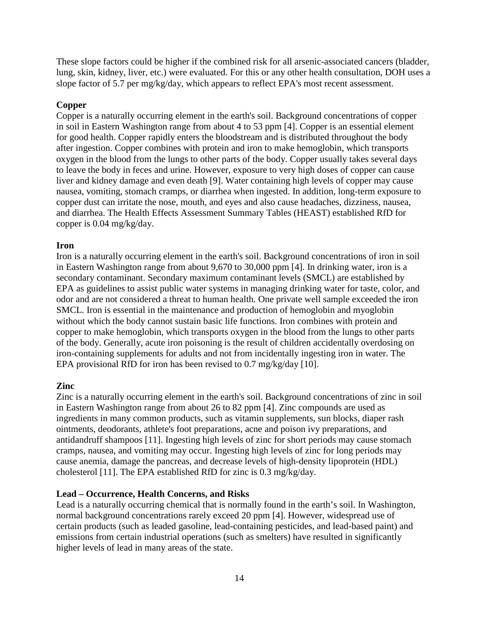These slope factors could be higher if the combined risk for all arsenic-associated cancers (bladder, lung, skin, kidney, liver, etc.) were evaluated. For this or any other health consultation, DOH uses a slope factor of 5.7 per mg/kg/day, which appears to reflect EPA's most recent assessment.

#### <span id="page-13-0"></span>**Copper**

Copper is a naturally occurring element in the earth's soil. Background concentrations of copper in soil in Eastern Washington range from about 4 to 53 ppm [4]. Copper is an essential element for good health. Copper rapidly enters the bloodstream and is distributed throughout the body after ingestion. Copper combines with protein and iron to make hemoglobin, which transports oxygen in the blood from the lungs to other parts of the body. Copper usually takes several days to leave the body in feces and urine. However, exposure to very high doses of copper can cause liver and kidney damage and even death [9]. Water containing high levels of copper may cause nausea, vomiting, stomach cramps, or diarrhea when ingested. In addition, long-term exposure to copper dust can irritate the nose, mouth, and eyes and also cause headaches, dizziness, nausea, and diarrhea. The Health Effects Assessment Summary Tables (HEAST) established RfD for copper is 0.04 mg/kg/day.

#### <span id="page-13-1"></span>**Iron**

Iron is a naturally occurring element in the earth's soil. Background concentrations of iron in soil in Eastern Washington range from about 9,670 to 30,000 ppm [4]. In drinking water, iron is a secondary contaminant. Secondary maximum contaminant levels (SMCL) are established by EPA as guidelines to assist public water systems in managing drinking water for taste, color, and odor and are not considered a threat to human health. One private well sample exceeded the iron SMCL. Iron is essential in the maintenance and production of hemoglobin and myoglobin without which the body cannot sustain basic life functions. Iron combines with protein and copper to make hemoglobin, which transports oxygen in the blood from the lungs to other parts of the body. Generally, acute iron poisoning is the result of children accidentally overdosing on iron-containing supplements for adults and not from incidentally ingesting iron in water. The EPA provisional RfD for iron has been revised to 0.7 mg/kg/day [10].

#### <span id="page-13-2"></span>**Zinc**

Zinc is a naturally occurring element in the earth's soil. Background concentrations of zinc in soil in Eastern Washington range from about 26 to 82 ppm [4]. Zinc compounds are used as ingredients in many common products, such as vitamin supplements, sun blocks, diaper rash ointments, deodorants, athlete's foot preparations, acne and poison ivy preparations, and antidandruff shampoos [11]. Ingesting high levels of zinc for short periods may cause stomach cramps, nausea, and vomiting may occur. Ingesting high levels of zinc for long periods may cause anemia, damage the pancreas, and decrease levels of high-density lipoprotein (HDL) cholesterol [11]. The EPA established RfD for zinc is 0.3 mg/kg/day.

#### <span id="page-13-3"></span>**Lead – Occurrence, Health Concerns, and Risks**

Lead is a naturally occurring chemical that is normally found in the earth's soil. In Washington, normal background concentrations rarely exceed 20 ppm [4]. However, widespread use of certain products (such as leaded gasoline, lead-containing pesticides, and lead-based paint) and emissions from certain industrial operations (such as smelters) have resulted in significantly higher levels of lead in many areas of the state.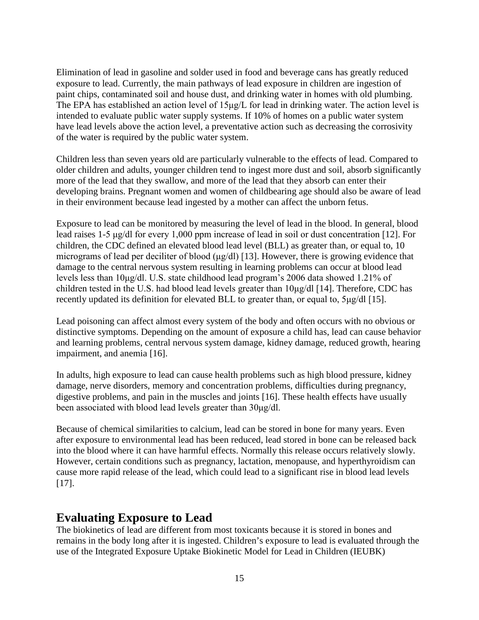Elimination of lead in gasoline and solder used in food and beverage cans has greatly reduced exposure to lead. Currently, the main pathways of lead exposure in children are ingestion of paint chips, contaminated soil and house dust, and drinking water in homes with old plumbing. The EPA has established an action level of 15μg/L for lead in drinking water. The action level is intended to evaluate public water supply systems. If 10% of homes on a public water system have lead levels above the action level, a preventative action such as decreasing the corrosivity of the water is required by the public water system.

Children less than seven years old are particularly vulnerable to the effects of lead. Compared to older children and adults, younger children tend to ingest more dust and soil, absorb significantly more of the lead that they swallow, and more of the lead that they absorb can enter their developing brains. Pregnant women and women of childbearing age should also be aware of lead in their environment because lead ingested by a mother can affect the unborn fetus.

Exposure to lead can be monitored by measuring the level of lead in the blood. In general, blood lead raises 1-5 μg/dl for every 1,000 ppm increase of lead in soil or dust concentration [12]. For children, the CDC defined an elevated blood lead level (BLL) as greater than, or equal to, 10 micrograms of lead per deciliter of blood (μg/dl) [13]. However, there is growing evidence that damage to the central nervous system resulting in learning problems can occur at blood lead levels less than 10μg/dl. U.S. state childhood lead program's 2006 data showed 1.21% of children tested in the U.S. had blood lead levels greater than 10μg/dl [14]. Therefore, CDC has recently updated its definition for elevated BLL to greater than, or equal to, 5μg/dl [15].

Lead poisoning can affect almost every system of the body and often occurs with no obvious or distinctive symptoms. Depending on the amount of exposure a child has, lead can cause behavior and learning problems, central nervous system damage, kidney damage, reduced growth, hearing impairment, and anemia [16].

In adults, high exposure to lead can cause health problems such as high blood pressure, kidney damage, nerve disorders, memory and concentration problems, difficulties during pregnancy, digestive problems, and pain in the muscles and joints [16]. These health effects have usually been associated with blood lead levels greater than 30μg/dl.

Because of chemical similarities to calcium, lead can be stored in bone for many years. Even after exposure to environmental lead has been reduced, lead stored in bone can be released back into the blood where it can have harmful effects. Normally this release occurs relatively slowly. However, certain conditions such as pregnancy, lactation, menopause, and hyperthyroidism can cause more rapid release of the lead, which could lead to a significant rise in blood lead levels [17].

### <span id="page-14-0"></span>**Evaluating Exposure to Lead**

The biokinetics of lead are different from most toxicants because it is stored in bones and remains in the body long after it is ingested. Children's exposure to lead is evaluated through the use of the Integrated Exposure Uptake Biokinetic Model for Lead in Children (IEUBK)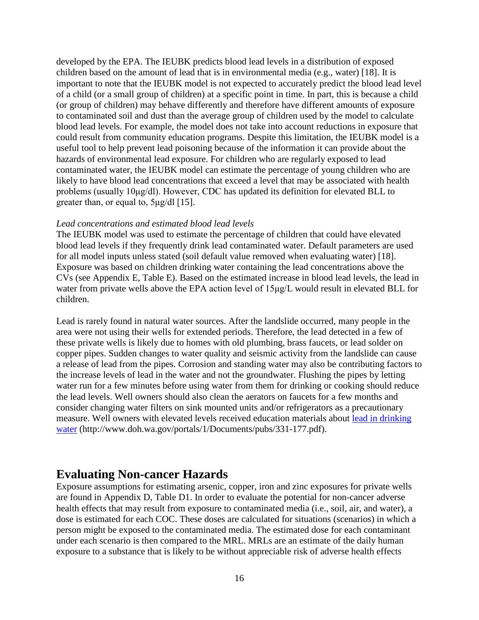developed by the EPA. The IEUBK predicts blood lead levels in a distribution of exposed children based on the amount of lead that is in environmental media (e.g., water) [18]. It is important to note that the IEUBK model is not expected to accurately predict the blood lead level of a child (or a small group of children) at a specific point in time. In part, this is because a child (or group of children) may behave differently and therefore have different amounts of exposure to contaminated soil and dust than the average group of children used by the model to calculate blood lead levels. For example, the model does not take into account reductions in exposure that could result from community education programs. Despite this limitation, the IEUBK model is a useful tool to help prevent lead poisoning because of the information it can provide about the hazards of environmental lead exposure. For children who are regularly exposed to lead contaminated water, the IEUBK model can estimate the percentage of young children who are likely to have blood lead concentrations that exceed a level that may be associated with health problems (usually 10μg/dl). However, CDC has updated its definition for elevated BLL to greater than, or equal to, 5μg/dl [15].

#### *Lead concentrations and estimated blood lead levels*

The IEUBK model was used to estimate the percentage of children that could have elevated blood lead levels if they frequently drink lead contaminated water. Default parameters are used for all model inputs unless stated (soil default value removed when evaluating water) [18]. Exposure was based on children drinking water containing the lead concentrations above the CVs (see Appendix E, Table E). Based on the estimated increase in blood lead levels, the lead in water from private wells above the EPA action level of 15μg/L would result in elevated BLL for children.

Lead is rarely found in natural water sources. After the landslide occurred, many people in the area were not using their wells for extended periods. Therefore, the lead detected in a few of these private wells is likely due to homes with old plumbing, brass faucets, or lead solder on copper pipes. Sudden changes to water quality and seismic activity from the landslide can cause a release of lead from the pipes. Corrosion and standing water may also be contributing factors to the increase levels of lead in the water and not the groundwater. Flushing the pipes by letting water run for a few minutes before using water from them for drinking or cooking should reduce the lead levels. Well owners should also clean the aerators on faucets for a few months and consider changing water filters on sink mounted units and/or refrigerators as a precautionary measure. Well owners with elevated levels received education materials about [lead in drinking](http://www.doh.wa.gov/portals/1/Documents/pubs/331-177.pdf)  [water](http://www.doh.wa.gov/portals/1/Documents/pubs/331-177.pdf) (http://www.doh.wa.gov/portals/1/Documents/pubs/331-177.pdf).

### <span id="page-15-0"></span>**Evaluating Non-cancer Hazards**

Exposure assumptions for estimating arsenic, copper, iron and zinc exposures for private wells are found in Appendix D, Table D1. In order to evaluate the potential for non-cancer adverse health effects that may result from exposure to contaminated media (i.e., soil, air, and water), a dose is estimated for each COC. These doses are calculated for situations (scenarios) in which a person might be exposed to the contaminated media. The estimated dose for each contaminant under each scenario is then compared to the MRL. MRLs are an estimate of the daily human exposure to a substance that is likely to be without appreciable risk of adverse health effects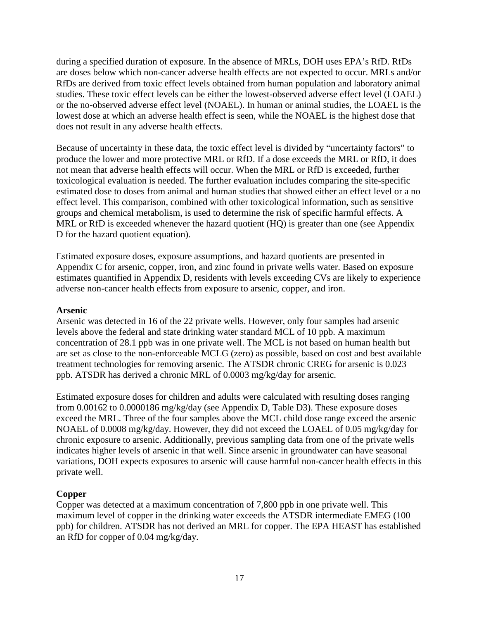during a specified duration of exposure. In the absence of MRLs, DOH uses EPA's RfD. RfDs are doses below which non-cancer adverse health effects are not expected to occur. MRLs and/or RfDs are derived from toxic effect levels obtained from human population and laboratory animal studies. These toxic effect levels can be either the lowest-observed adverse effect level (LOAEL) or the no-observed adverse effect level (NOAEL). In human or animal studies, the LOAEL is the lowest dose at which an adverse health effect is seen, while the NOAEL is the highest dose that does not result in any adverse health effects.

Because of uncertainty in these data, the toxic effect level is divided by "uncertainty factors" to produce the lower and more protective MRL or RfD. If a dose exceeds the MRL or RfD, it does not mean that adverse health effects will occur. When the MRL or RfD is exceeded, further toxicological evaluation is needed. The further evaluation includes comparing the site-specific estimated dose to doses from animal and human studies that showed either an effect level or a no effect level. This comparison, combined with other toxicological information, such as sensitive groups and chemical metabolism, is used to determine the risk of specific harmful effects. A MRL or RfD is exceeded whenever the hazard quotient (HQ) is greater than one (see Appendix D for the hazard quotient equation).

Estimated exposure doses, exposure assumptions, and hazard quotients are presented in Appendix C for arsenic, copper, iron, and zinc found in private wells water. Based on exposure estimates quantified in Appendix D, residents with levels exceeding CVs are likely to experience adverse non-cancer health effects from exposure to arsenic, copper, and iron.

#### <span id="page-16-0"></span>**Arsenic**

Arsenic was detected in 16 of the 22 private wells. However, only four samples had arsenic levels above the federal and state drinking water standard MCL of 10 ppb. A maximum concentration of 28.1 ppb was in one private well. The MCL is not based on human health but are set as close to the non-enforceable MCLG (zero) as possible, based on cost and best available treatment technologies for removing arsenic. The ATSDR chronic CREG for arsenic is 0.023 ppb. ATSDR has derived a chronic MRL of 0.0003 mg/kg/day for arsenic.

Estimated exposure doses for children and adults were calculated with resulting doses ranging from 0.00162 to 0.0000186 mg/kg/day (see Appendix D, Table D3). These exposure doses exceed the MRL. Three of the four samples above the MCL child dose range exceed the arsenic NOAEL of 0.0008 mg/kg/day. However, they did not exceed the LOAEL of 0.05 mg/kg/day for chronic exposure to arsenic. Additionally, previous sampling data from one of the private wells indicates higher levels of arsenic in that well. Since arsenic in groundwater can have seasonal variations, DOH expects exposures to arsenic will cause harmful non-cancer health effects in this private well.

#### <span id="page-16-1"></span>**Copper**

Copper was detected at a maximum concentration of 7,800 ppb in one private well. This maximum level of copper in the drinking water exceeds the ATSDR intermediate EMEG (100 ppb) for children. ATSDR has not derived an MRL for copper. The EPA HEAST has established an RfD for copper of 0.04 mg/kg/day.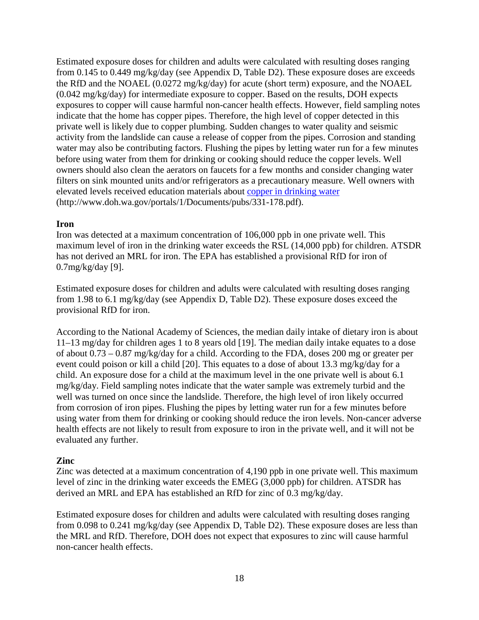Estimated exposure doses for children and adults were calculated with resulting doses ranging from 0.145 to 0.449 mg/kg/day (see Appendix D, Table D2). These exposure doses are exceeds the RfD and the NOAEL (0.0272 mg/kg/day) for acute (short term) exposure, and the NOAEL (0.042 mg/kg/day) for intermediate exposure to copper. Based on the results, DOH expects exposures to copper will cause harmful non-cancer health effects. However, field sampling notes indicate that the home has copper pipes. Therefore, the high level of copper detected in this private well is likely due to copper plumbing. Sudden changes to water quality and seismic activity from the landslide can cause a release of copper from the pipes. Corrosion and standing water may also be contributing factors. Flushing the pipes by letting water run for a few minutes before using water from them for drinking or cooking should reduce the copper levels. Well owners should also clean the aerators on faucets for a few months and consider changing water filters on sink mounted units and/or refrigerators as a precautionary measure. Well owners with elevated levels received education materials about [copper in drinking water](http://www.doh.wa.gov/portals/1/Documents/pubs/331-178.pdf) (http://www.doh.wa.gov/portals/1/Documents/pubs/331-178.pdf).

#### <span id="page-17-0"></span>**Iron**

Iron was detected at a maximum concentration of 106,000 ppb in one private well. This maximum level of iron in the drinking water exceeds the RSL (14,000 ppb) for children. ATSDR has not derived an MRL for iron. The EPA has established a provisional RfD for iron of 0.7mg/kg/day [9].

Estimated exposure doses for children and adults were calculated with resulting doses ranging from 1.98 to 6.1 mg/kg/day (see Appendix D, Table D2). These exposure doses exceed the provisional RfD for iron.

According to the National Academy of Sciences, the median daily intake of dietary iron is about 11–13 mg/day for children ages 1 to 8 years old [19]. The median daily intake equates to a dose of about 0.73 – 0.87 mg/kg/day for a child. According to the FDA, doses 200 mg or greater per event could poison or kill a child [20]. This equates to a dose of about 13.3 mg/kg/day for a child. An exposure dose for a child at the maximum level in the one private well is about 6.1 mg/kg/day. Field sampling notes indicate that the water sample was extremely turbid and the well was turned on once since the landslide. Therefore, the high level of iron likely occurred from corrosion of iron pipes. Flushing the pipes by letting water run for a few minutes before using water from them for drinking or cooking should reduce the iron levels. Non-cancer adverse health effects are not likely to result from exposure to iron in the private well, and it will not be evaluated any further.

#### <span id="page-17-1"></span>**Zinc**

Zinc was detected at a maximum concentration of 4,190 ppb in one private well. This maximum level of zinc in the drinking water exceeds the EMEG (3,000 ppb) for children. ATSDR has derived an MRL and EPA has established an RfD for zinc of 0.3 mg/kg/day.

Estimated exposure doses for children and adults were calculated with resulting doses ranging from 0.098 to 0.241 mg/kg/day (see Appendix D, Table D2). These exposure doses are less than the MRL and RfD. Therefore, DOH does not expect that exposures to zinc will cause harmful non-cancer health effects.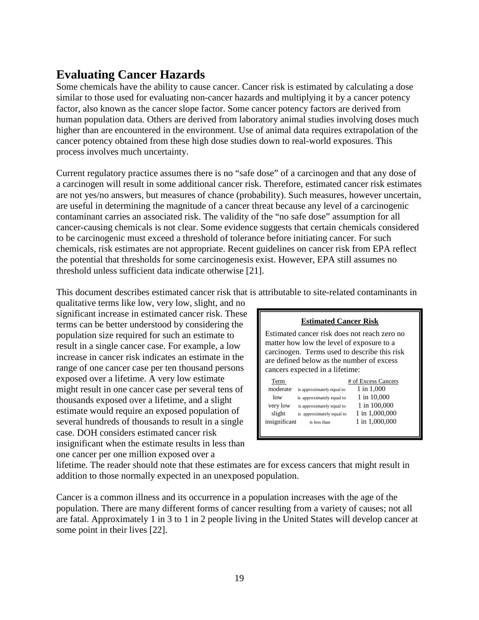# <span id="page-18-0"></span>**Evaluating Cancer Hazards**

Some chemicals have the ability to cause cancer. Cancer risk is estimated by calculating a dose similar to those used for evaluating non-cancer hazards and multiplying it by a cancer potency factor, also known as the cancer slope factor. Some cancer potency factors are derived from human population data. Others are derived from laboratory animal studies involving doses much higher than are encountered in the environment. Use of animal data requires extrapolation of the cancer potency obtained from these high dose studies down to real-world exposures. This process involves much uncertainty.

Current regulatory practice assumes there is no "safe dose" of a carcinogen and that any dose of a carcinogen will result in some additional cancer risk. Therefore, estimated cancer risk estimates are not yes/no answers, but measures of chance (probability). Such measures, however uncertain, are useful in determining the magnitude of a cancer threat because any level of a carcinogenic contaminant carries an associated risk. The validity of the "no safe dose" assumption for all cancer-causing chemicals is not clear. Some evidence suggests that certain chemicals considered to be carcinogenic must exceed a threshold of tolerance before initiating cancer. For such chemicals, risk estimates are not appropriate. Recent guidelines on cancer risk from EPA reflect the potential that thresholds for some carcinogenesis exist. However, EPA still assumes no threshold unless sufficient data indicate otherwise [21].

This document describes estimated cancer risk that is attributable to site-related contaminants in

qualitative terms like low, very low, slight, and no significant increase in estimated cancer risk. These terms can be better understood by considering the population size required for such an estimate to result in a single cancer case. For example, a low increase in cancer risk indicates an estimate in the range of one cancer case per ten thousand persons exposed over a lifetime. A very low estimate might result in one cancer case per several tens of thousands exposed over a lifetime, and a slight estimate would require an exposed population of several hundreds of thousands to result in a single case. DOH considers estimated cancer risk insignificant when the estimate results in less than one cancer per one million exposed over a

| <b>Estimated Cancer Risk</b>                                                                                                                                                                                              |                           |                |  |
|---------------------------------------------------------------------------------------------------------------------------------------------------------------------------------------------------------------------------|---------------------------|----------------|--|
| Estimated cancer risk does not reach zero no<br>matter how low the level of exposure to a<br>carcinogen. Terms used to describe this risk<br>are defined below as the number of excess<br>cancers expected in a lifetime: |                           |                |  |
| Term                                                                                                                                                                                                                      | # of Excess Cancers       |                |  |
| moderate                                                                                                                                                                                                                  | is approximately equal to | 1 in 1,000     |  |
| low                                                                                                                                                                                                                       | is approximately equal to | 1 in 10,000    |  |
| very low                                                                                                                                                                                                                  | is approximately equal to | 1 in 100,000   |  |
| slight                                                                                                                                                                                                                    | is approximately equal to | 1 in 1,000,000 |  |
| insignificant                                                                                                                                                                                                             | is less than              | 1 in 1,000,000 |  |
|                                                                                                                                                                                                                           |                           |                |  |

lifetime. The reader should note that these estimates are for excess cancers that might result in addition to those normally expected in an unexposed population.

Cancer is a common illness and its occurrence in a population increases with the age of the population. There are many different forms of cancer resulting from a variety of causes; not all are fatal. Approximately 1 in 3 to 1 in 2 people living in the United States will develop cancer at some point in their lives [22].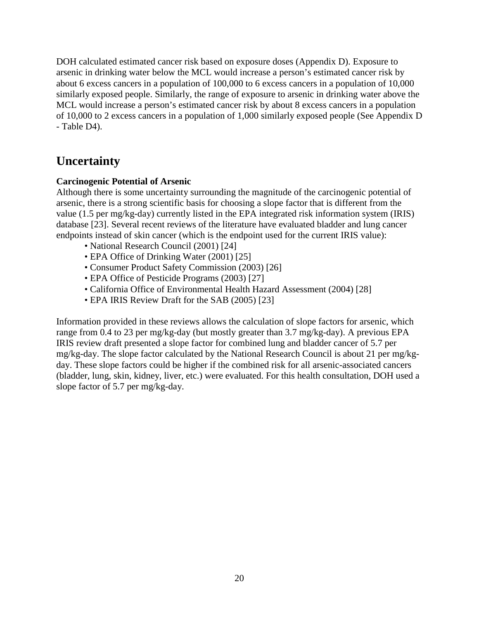DOH calculated estimated cancer risk based on exposure doses (Appendix D). Exposure to arsenic in drinking water below the MCL would increase a person's estimated cancer risk by about 6 excess cancers in a population of 100,000 to 6 excess cancers in a population of 10,000 similarly exposed people. Similarly, the range of exposure to arsenic in drinking water above the MCL would increase a person's estimated cancer risk by about 8 excess cancers in a population of 10,000 to 2 excess cancers in a population of 1,000 similarly exposed people (See Appendix D - Table D4).

### <span id="page-19-0"></span>**Uncertainty**

#### <span id="page-19-1"></span>**Carcinogenic Potential of Arsenic**

Although there is some uncertainty surrounding the magnitude of the carcinogenic potential of arsenic, there is a strong scientific basis for choosing a slope factor that is different from the value (1.5 per mg/kg-day) currently listed in the EPA integrated risk information system (IRIS) database [23]. Several recent reviews of the literature have evaluated bladder and lung cancer endpoints instead of skin cancer (which is the endpoint used for the current IRIS value):

- National Research Council (2001) [24]
- EPA Office of Drinking Water (2001) [25]
- Consumer Product Safety Commission (2003) [26]
- EPA Office of Pesticide Programs (2003) [27]
- California Office of Environmental Health Hazard Assessment (2004) [28]
- EPA IRIS Review Draft for the SAB (2005) [23]

Information provided in these reviews allows the calculation of slope factors for arsenic, which range from 0.4 to 23 per mg/kg-day (but mostly greater than 3.7 mg/kg-day). A previous EPA IRIS review draft presented a slope factor for combined lung and bladder cancer of 5.7 per mg/kg-day. The slope factor calculated by the National Research Council is about 21 per mg/kgday. These slope factors could be higher if the combined risk for all arsenic-associated cancers (bladder, lung, skin, kidney, liver, etc.) were evaluated. For this health consultation, DOH used a slope factor of 5.7 per mg/kg-day.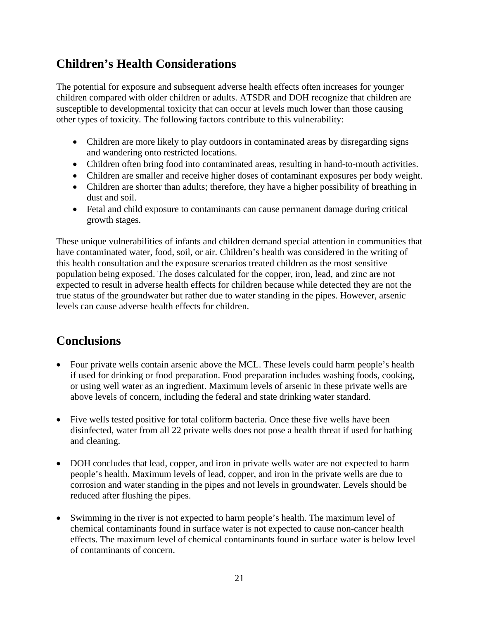# <span id="page-20-0"></span>**Children's Health Considerations**

The potential for exposure and subsequent adverse health effects often increases for younger children compared with older children or adults. ATSDR and DOH recognize that children are susceptible to developmental toxicity that can occur at levels much lower than those causing other types of toxicity. The following factors contribute to this vulnerability:

- Children are more likely to play outdoors in contaminated areas by disregarding signs and wandering onto restricted locations.
- Children often bring food into contaminated areas, resulting in hand-to-mouth activities.
- Children are smaller and receive higher doses of contaminant exposures per body weight.
- Children are shorter than adults; therefore, they have a higher possibility of breathing in dust and soil.
- Fetal and child exposure to contaminants can cause permanent damage during critical growth stages.

These unique vulnerabilities of infants and children demand special attention in communities that have contaminated water, food, soil, or air. Children's health was considered in the writing of this health consultation and the exposure scenarios treated children as the most sensitive population being exposed. The doses calculated for the copper, iron, lead, and zinc are not expected to result in adverse health effects for children because while detected they are not the true status of the groundwater but rather due to water standing in the pipes. However, arsenic levels can cause adverse health effects for children.

# <span id="page-20-1"></span>**Conclusions**

- Four private wells contain arsenic above the MCL. These levels could harm people's health if used for drinking or food preparation. Food preparation includes washing foods, cooking, or using well water as an ingredient. Maximum levels of arsenic in these private wells are above levels of concern, including the federal and state drinking water standard.
- Five wells tested positive for total coliform bacteria. Once these five wells have been disinfected, water from all 22 private wells does not pose a health threat if used for bathing and cleaning.
- DOH concludes that lead, copper, and iron in private wells water are not expected to harm people's health. Maximum levels of lead, copper, and iron in the private wells are due to corrosion and water standing in the pipes and not levels in groundwater. Levels should be reduced after flushing the pipes.
- Swimming in the river is not expected to harm people's health. The maximum level of chemical contaminants found in surface water is not expected to cause non-cancer health effects. The maximum level of chemical contaminants found in surface water is below level of contaminants of concern.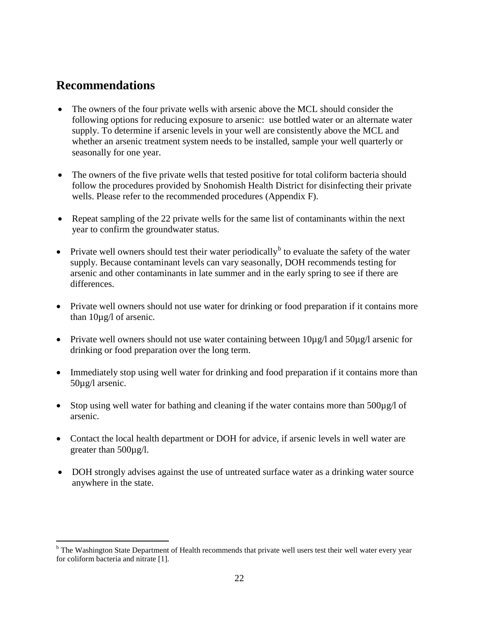### <span id="page-21-0"></span>**Recommendations**

- The owners of the four private wells with arsenic above the MCL should consider the following options for reducing exposure to arsenic: use bottled water or an alternate water supply. To determine if arsenic levels in your well are consistently above the MCL and whether an arsenic treatment system needs to be installed, sample your well quarterly or seasonally for one year.
- The owners of the five private wells that tested positive for total coliform bacteria should follow the procedures provided by Snohomish Health District for disinfecting their private wells. Please refer to the recommended procedures (Appendix F).
- Repeat sampling of the 22 private wells for the same list of contaminants within the next year to confirm the groundwater status.
- Private well owners should test their water periodically<sup>[b](#page-21-1)</sup> to evaluate the safety of the water supply. Because contaminant levels can vary seasonally, DOH recommends testing for arsenic and other contaminants in late summer and in the early spring to see if there are differences.
- Private well owners should not use water for drinking or food preparation if it contains more than 10µg/l of arsenic.
- Private well owners should not use water containing between  $10\mu g/l$  and  $50\mu g/l$  arsenic for drinking or food preparation over the long term.
- Immediately stop using well water for drinking and food preparation if it contains more than 50µg/l arsenic.
- Stop using well water for bathing and cleaning if the water contains more than  $500\mu g/d$  of arsenic.
- Contact the local health department or DOH for advice, if arsenic levels in well water are greater than 500µg/l.
- DOH strongly advises against the use of untreated surface water as a drinking water source anywhere in the state.

<span id="page-21-1"></span><sup>&</sup>lt;sup>b</sup> The Washington State Department of Health recommends that private well users test their well water every year for coliform bacteria and nitrate [1].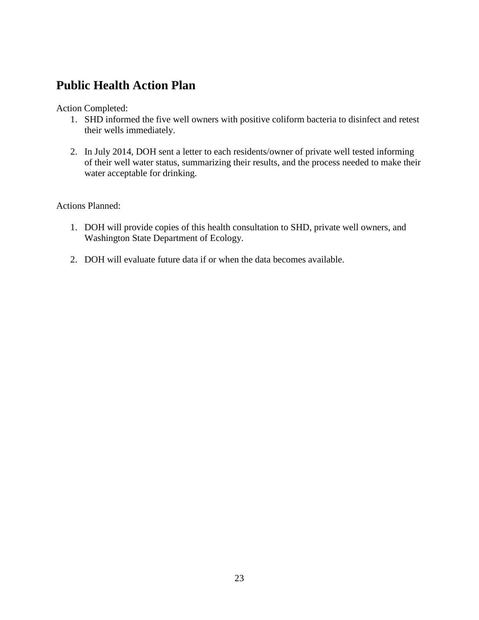## <span id="page-22-0"></span>**Public Health Action Plan**

Action Completed:

- 1. SHD informed the five well owners with positive coliform bacteria to disinfect and retest their wells immediately.
- 2. In July 2014, DOH sent a letter to each residents/owner of private well tested informing of their well water status, summarizing their results, and the process needed to make their water acceptable for drinking.

Actions Planned:

- 1. DOH will provide copies of this health consultation to SHD, private well owners, and Washington State Department of Ecology.
- 2. DOH will evaluate future data if or when the data becomes available.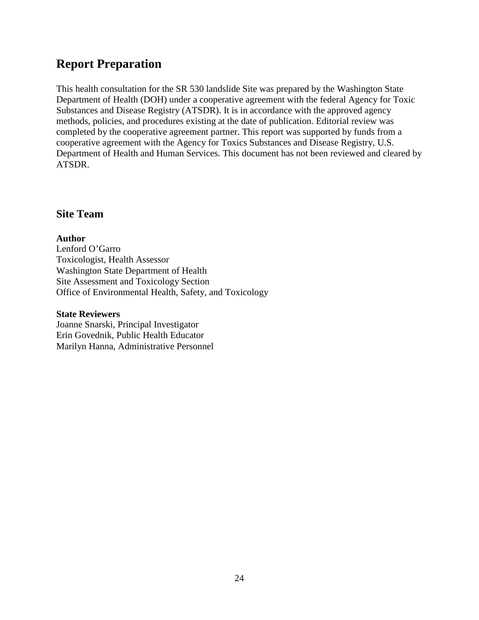## <span id="page-23-0"></span>**Report Preparation**

This health consultation for the SR 530 landslide Site was prepared by the Washington State Department of Health (DOH) under a cooperative agreement with the federal Agency for Toxic Substances and Disease Registry (ATSDR). It is in accordance with the approved agency methods, policies, and procedures existing at the date of publication. Editorial review was completed by the cooperative agreement partner. This report was supported by funds from a cooperative agreement with the Agency for Toxics Substances and Disease Registry, U.S. Department of Health and Human Services. This document has not been reviewed and cleared by ATSDR.

#### **Site Team**

#### **Author**

Lenford O'Garro Toxicologist, Health Assessor Washington State Department of Health Site Assessment and Toxicology Section Office of Environmental Health, Safety, and Toxicology

#### **State Reviewers**

Joanne Snarski, Principal Investigator Erin Govednik, Public Health Educator Marilyn Hanna, Administrative Personnel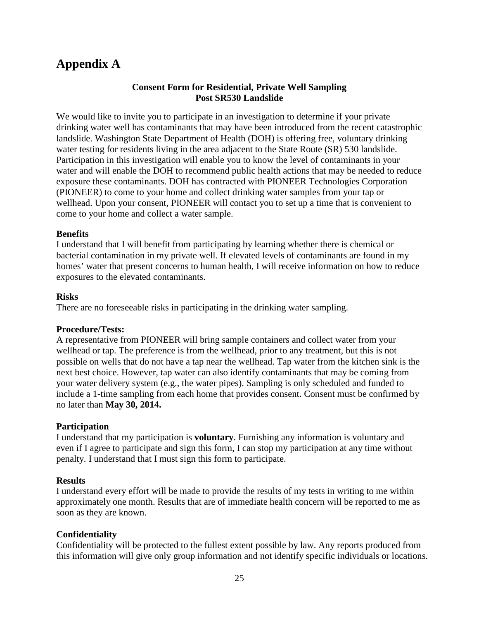## <span id="page-24-0"></span>**Appendix A**

#### **Consent Form for Residential, Private Well Sampling Post SR530 Landslide**

We would like to invite you to participate in an investigation to determine if your private drinking water well has contaminants that may have been introduced from the recent catastrophic landslide. Washington State Department of Health (DOH) is offering free, voluntary drinking water testing for residents living in the area adjacent to the State Route (SR) 530 landslide. Participation in this investigation will enable you to know the level of contaminants in your water and will enable the DOH to recommend public health actions that may be needed to reduce exposure these contaminants. DOH has contracted with PIONEER Technologies Corporation (PIONEER) to come to your home and collect drinking water samples from your tap or wellhead. Upon your consent, PIONEER will contact you to set up a time that is convenient to come to your home and collect a water sample.

#### **Benefits**

I understand that I will benefit from participating by learning whether there is chemical or bacterial contamination in my private well. If elevated levels of contaminants are found in my homes' water that present concerns to human health, I will receive information on how to reduce exposures to the elevated contaminants.

#### **Risks**

There are no foreseeable risks in participating in the drinking water sampling.

#### **Procedure/Tests:**

A representative from PIONEER will bring sample containers and collect water from your wellhead or tap. The preference is from the wellhead, prior to any treatment, but this is not possible on wells that do not have a tap near the wellhead. Tap water from the kitchen sink is the next best choice. However, tap water can also identify contaminants that may be coming from your water delivery system (e.g., the water pipes). Sampling is only scheduled and funded to include a 1-time sampling from each home that provides consent. Consent must be confirmed by no later than **May 30, 2014.**

#### **Participation**

I understand that my participation is **voluntary**. Furnishing any information is voluntary and even if I agree to participate and sign this form, I can stop my participation at any time without penalty. I understand that I must sign this form to participate.

#### **Results**

I understand every effort will be made to provide the results of my tests in writing to me within approximately one month. Results that are of immediate health concern will be reported to me as soon as they are known.

#### **Confidentiality**

Confidentiality will be protected to the fullest extent possible by law. Any reports produced from this information will give only group information and not identify specific individuals or locations.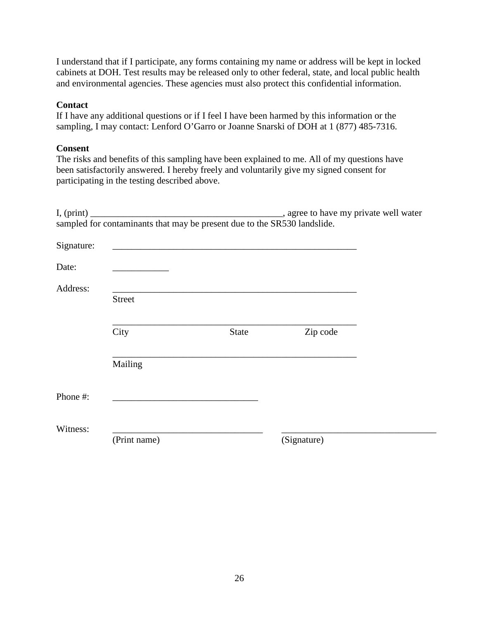I understand that if I participate, any forms containing my name or address will be kept in locked cabinets at DOH. Test results may be released only to other federal, state, and local public health and environmental agencies. These agencies must also protect this confidential information.

#### **Contact**

If I have any additional questions or if I feel I have been harmed by this information or the sampling, I may contact: Lenford O'Garro or Joanne Snarski of DOH at 1 (877) 485-7316.

#### **Consent**

The risks and benefits of this sampling have been explained to me. All of my questions have been satisfactorily answered. I hereby freely and voluntarily give my signed consent for participating in the testing described above.

|            | sampled for contaminants that may be present due to the SR530 landslide. |                                                           |             |  |
|------------|--------------------------------------------------------------------------|-----------------------------------------------------------|-------------|--|
| Signature: |                                                                          | <u> 1980 - John Stein, markin am de familie (f. 1980)</u> |             |  |
| Date:      |                                                                          |                                                           |             |  |
| Address:   | <b>Street</b>                                                            |                                                           |             |  |
|            | City                                                                     | <b>State</b>                                              | Zip code    |  |
|            | Mailing                                                                  |                                                           |             |  |
| Phone #:   |                                                                          |                                                           |             |  |
| Witness:   | (Print name)                                                             |                                                           | (Signature) |  |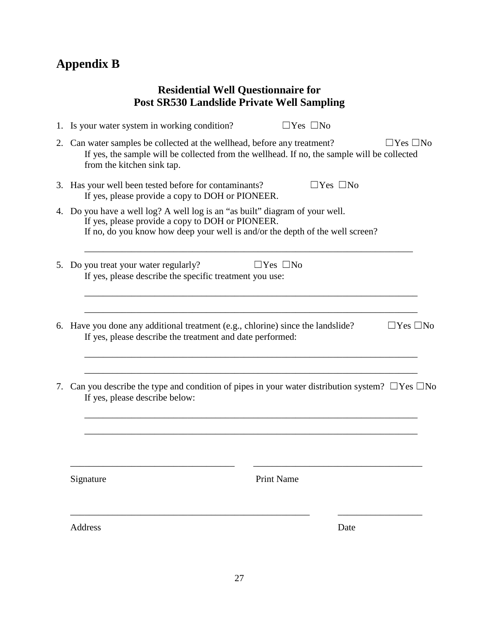# <span id="page-26-0"></span>**Appendix B**

### **Residential Well Questionnaire for Post SR530 Landslide Private Well Sampling**

| 1. Is your water system in working condition?                                                                                                                                                                     | $\Box$ Yes $\Box$ No |                      |  |
|-------------------------------------------------------------------------------------------------------------------------------------------------------------------------------------------------------------------|----------------------|----------------------|--|
| 2. Can water samples be collected at the wellhead, before any treatment?<br>If yes, the sample will be collected from the wellhead. If no, the sample will be collected<br>from the kitchen sink tap.             |                      | $\Box$ Yes $\Box$ No |  |
| 3. Has your well been tested before for contaminants?<br>If yes, please provide a copy to DOH or PIONEER.                                                                                                         | $\Box$ Yes $\Box$ No |                      |  |
| 4. Do you have a well log? A well log is an "as built" diagram of your well.<br>If yes, please provide a copy to DOH or PIONEER.<br>If no, do you know how deep your well is and/or the depth of the well screen? |                      |                      |  |
| 5. Do you treat your water regularly?<br>If yes, please describe the specific treatment you use:                                                                                                                  | $\Box$ Yes $\Box$ No |                      |  |
| 6. Have you done any additional treatment (e.g., chlorine) since the landslide?<br>If yes, please describe the treatment and date performed:                                                                      |                      | $\Box$ Yes $\Box$ No |  |
| 7. Can you describe the type and condition of pipes in your water distribution system? $\Box$ Yes $\Box$ No<br>If yes, please describe below:                                                                     |                      |                      |  |
| Signature                                                                                                                                                                                                         | <b>Print Name</b>    |                      |  |
| Address                                                                                                                                                                                                           | Date                 |                      |  |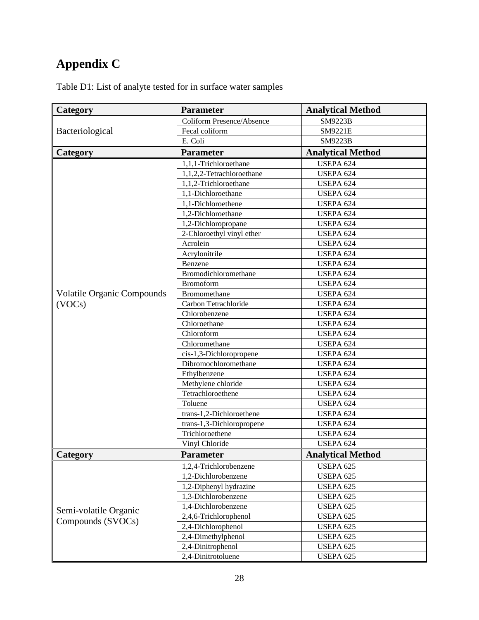# <span id="page-27-0"></span>**Appendix C**

| Category                          | <b>Parameter</b>                 | <b>Analytical Method</b> |
|-----------------------------------|----------------------------------|--------------------------|
|                                   | <b>Coliform Presence/Absence</b> | SM9223B                  |
| Bacteriological                   | Fecal coliform                   | SM9221E                  |
|                                   | E. Coli                          | SM9223B                  |
| Category                          | <b>Parameter</b>                 | <b>Analytical Method</b> |
|                                   | 1,1,1-Trichloroethane            | <b>USEPA 624</b>         |
|                                   | 1,1,2,2-Tetrachloroethane        | <b>USEPA 624</b>         |
|                                   | 1,1,2-Trichloroethane            | <b>USEPA 624</b>         |
|                                   | 1,1-Dichloroethane               | <b>USEPA 624</b>         |
|                                   | 1,1-Dichloroethene               | USEPA 624                |
|                                   | 1,2-Dichloroethane               | <b>USEPA 624</b>         |
|                                   | 1,2-Dichloropropane              | USEPA 624                |
|                                   | 2-Chloroethyl vinyl ether        | USEPA 624                |
|                                   | Acrolein                         | <b>USEPA 624</b>         |
|                                   | Acrylonitrile                    | <b>USEPA 624</b>         |
|                                   | Benzene                          | <b>USEPA 624</b>         |
|                                   | Bromodichloromethane             | <b>USEPA 624</b>         |
|                                   | <b>Bromoform</b>                 | <b>USEPA 624</b>         |
| <b>Volatile Organic Compounds</b> | <b>Bromomethane</b>              | <b>USEPA 624</b>         |
| (VOCs)                            | Carbon Tetrachloride             | USEPA 624                |
|                                   | Chlorobenzene                    | USEPA 624                |
|                                   | Chloroethane                     | <b>USEPA 624</b>         |
|                                   | Chloroform                       | <b>USEPA 624</b>         |
|                                   | Chloromethane                    | <b>USEPA 624</b>         |
|                                   | cis-1,3-Dichloropropene          | <b>USEPA 624</b>         |
|                                   | Dibromochloromethane             | <b>USEPA 624</b>         |
|                                   | Ethylbenzene                     | USEPA 624                |
|                                   | Methylene chloride               | <b>USEPA 624</b>         |
|                                   | Tetrachloroethene                | <b>USEPA 624</b>         |
|                                   | Toluene                          | <b>USEPA 624</b>         |
|                                   | trans-1,2-Dichloroethene         | <b>USEPA 624</b>         |
|                                   | trans-1,3-Dichloropropene        | <b>USEPA 624</b>         |
|                                   | Trichloroethene                  | <b>USEPA 624</b>         |
|                                   | Vinyl Chloride                   | <b>USEPA 624</b>         |
| <b>Category</b>                   | <b>Parameter</b>                 | <b>Analytical Method</b> |
|                                   | 1,2,4-Trichlorobenzene           | USEPA 625                |
|                                   | 1,2-Dichlorobenzene              | <b>USEPA 625</b>         |
|                                   | 1,2-Diphenyl hydrazine           | USEPA 625                |
|                                   | 1,3-Dichlorobenzene              | <b>USEPA 625</b>         |
| Semi-volatile Organic             | 1,4-Dichlorobenzene              | <b>USEPA 625</b>         |
| Compounds (SVOCs)                 | 2,4,6-Trichlorophenol            | <b>USEPA 625</b>         |
|                                   | 2,4-Dichlorophenol               | <b>USEPA 625</b>         |
|                                   | 2,4-Dimethylphenol               | <b>USEPA 625</b>         |
|                                   | 2,4-Dinitrophenol                | <b>USEPA 625</b>         |
|                                   | 2,4-Dinitrotoluene               | <b>USEPA 625</b>         |

Table D1: List of analyte tested for in surface water samples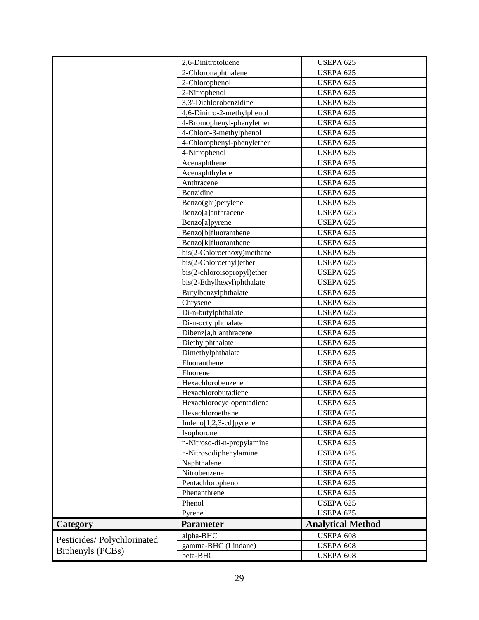|                            | 2,6-Dinitrotoluene              | <b>USEPA 625</b>         |
|----------------------------|---------------------------------|--------------------------|
|                            | 2-Chloronaphthalene             | <b>USEPA 625</b>         |
|                            | 2-Chlorophenol                  | <b>USEPA 625</b>         |
|                            | 2-Nitrophenol                   | <b>USEPA 625</b>         |
|                            | 3,3'-Dichlorobenzidine          | <b>USEPA 625</b>         |
|                            | 4,6-Dinitro-2-methylphenol      | <b>USEPA 625</b>         |
|                            | 4-Bromophenyl-phenylether       | <b>USEPA 625</b>         |
|                            | 4-Chloro-3-methylphenol         | <b>USEPA 625</b>         |
|                            | 4-Chlorophenyl-phenylether      | <b>USEPA 625</b>         |
|                            | 4-Nitrophenol                   | <b>USEPA 625</b>         |
|                            | Acenaphthene                    | <b>USEPA 625</b>         |
|                            | Acenaphthylene                  | <b>USEPA 625</b>         |
|                            | Anthracene                      | <b>USEPA 625</b>         |
|                            | Benzidine                       | <b>USEPA 625</b>         |
|                            | Benzo(ghi)perylene              | <b>USEPA 625</b>         |
|                            | Benzo[a]anthracene              | <b>USEPA 625</b>         |
|                            | Benzo[a]pyrene                  | <b>USEPA 625</b>         |
|                            | Benzo[b]fluoranthene            | <b>USEPA 625</b>         |
|                            | Benzo[k]fluoranthene            | <b>USEPA 625</b>         |
|                            | bis(2-Chloroethoxy)methane      | <b>USEPA 625</b>         |
|                            | bis(2-Chloroethyl)ether         | <b>USEPA 625</b>         |
|                            | bis(2-chloroisopropyl)ether     | USEPA <sub>625</sub>     |
|                            | bis(2-Ethylhexyl)phthalate      | <b>USEPA 625</b>         |
|                            | Butylbenzylphthalate            | <b>USEPA 625</b>         |
|                            | Chrysene                        | <b>USEPA 625</b>         |
|                            | Di-n-butylphthalate             | <b>USEPA 625</b>         |
|                            | Di-n-octylphthalate             | <b>USEPA 625</b>         |
|                            | Dibenz[a,h]anthracene           | <b>USEPA 625</b>         |
|                            | Diethylphthalate                | <b>USEPA 625</b>         |
|                            | Dimethylphthalate               | <b>USEPA 625</b>         |
|                            | Fluoranthene                    | <b>USEPA 625</b>         |
|                            | Fluorene                        | <b>USEPA 625</b>         |
|                            | Hexachlorobenzene               | <b>USEPA 625</b>         |
|                            | Hexachlorobutadiene             | <b>USEPA 625</b>         |
|                            | Hexachlorocyclopentadiene       | <b>USEPA 625</b>         |
|                            | Hexachloroethane                | <b>USEPA 625</b>         |
|                            | Indeno $[1,2,3$ -cd] pyrene     | USEPA 625                |
|                            | Isophorone                      | <b>USEPA 625</b>         |
|                            | n-Nitroso-di-n-propylamine      | <b>USEPA 625</b>         |
|                            | n-Nitrosodiphenylamine          | <b>USEPA 625</b>         |
|                            | Naphthalene                     | <b>USEPA 625</b>         |
|                            | Nitrobenzene                    | <b>USEPA 625</b>         |
|                            | Pentachlorophenol               | USEPA 625                |
|                            | Phenanthrene                    | <b>USEPA 625</b>         |
|                            | Phenol                          | <b>USEPA 625</b>         |
|                            | Pyrene                          | <b>USEPA 625</b>         |
| Category                   | <b>Parameter</b>                | <b>Analytical Method</b> |
|                            | alpha-BHC                       | USEPA 608                |
| Pesticides/Polychlorinated |                                 | USEPA 608                |
| Biphenyls (PCBs)           | gamma-BHC (Lindane)<br>beta-BHC |                          |
|                            |                                 | USEPA 608                |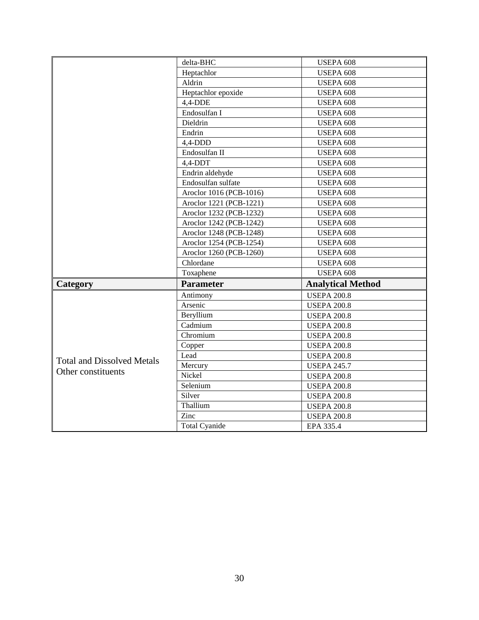|                                   | delta-BHC               | <b>USEPA 608</b>         |
|-----------------------------------|-------------------------|--------------------------|
|                                   | Heptachlor              | <b>USEPA 608</b>         |
|                                   | Aldrin                  | <b>USEPA 608</b>         |
|                                   | Heptachlor epoxide      | <b>USEPA 608</b>         |
|                                   | $4,4-DDE$               | <b>USEPA 608</b>         |
|                                   | Endosulfan I            | <b>USEPA 608</b>         |
|                                   | Dieldrin                | <b>USEPA 608</b>         |
|                                   | Endrin                  | <b>USEPA 608</b>         |
|                                   | $4,4$ -DDD              | <b>USEPA 608</b>         |
|                                   | Endosulfan II           | <b>USEPA 608</b>         |
|                                   | 4,4-DDT                 | <b>USEPA 608</b>         |
|                                   | Endrin aldehyde         | <b>USEPA 608</b>         |
|                                   | Endosulfan sulfate      | <b>USEPA 608</b>         |
|                                   | Aroclor 1016 (PCB-1016) | <b>USEPA 608</b>         |
|                                   | Aroclor 1221 (PCB-1221) | <b>USEPA 608</b>         |
|                                   | Aroclor 1232 (PCB-1232) | <b>USEPA 608</b>         |
|                                   | Aroclor 1242 (PCB-1242) | <b>USEPA 608</b>         |
|                                   | Aroclor 1248 (PCB-1248) | <b>USEPA 608</b>         |
|                                   | Aroclor 1254 (PCB-1254) | <b>USEPA 608</b>         |
|                                   | Aroclor 1260 (PCB-1260) | <b>USEPA 608</b>         |
|                                   | Chlordane               | <b>USEPA 608</b>         |
|                                   | Toxaphene               | <b>USEPA 608</b>         |
| Category                          | <b>Parameter</b>        | <b>Analytical Method</b> |
|                                   | Antimony                | <b>USEPA 200.8</b>       |
|                                   | Arsenic                 | <b>USEPA 200.8</b>       |
|                                   | Beryllium               | <b>USEPA 200.8</b>       |
|                                   | Cadmium                 | <b>USEPA 200.8</b>       |
|                                   | Chromium                | <b>USEPA 200.8</b>       |
|                                   | Copper                  | <b>USEPA 200.8</b>       |
|                                   | Lead                    | <b>USEPA 200.8</b>       |
| <b>Total and Dissolved Metals</b> | Mercury                 | <b>USEPA 245.7</b>       |
| Other constituents                | Nickel                  | <b>USEPA 200.8</b>       |
|                                   | Selenium                | <b>USEPA 200.8</b>       |
|                                   | Silver                  | <b>USEPA 200.8</b>       |
|                                   | Thallium                | <b>USEPA 200.8</b>       |
|                                   | Zinc                    | <b>USEPA 200.8</b>       |
|                                   | <b>Total Cyanide</b>    | EPA 335.4                |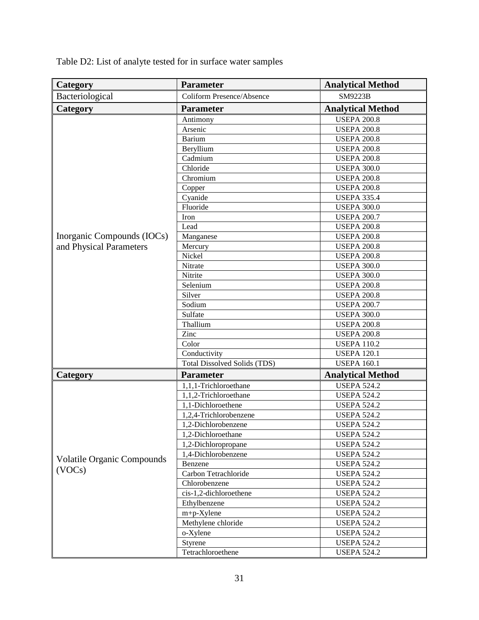**Parameter Parameter Analytical Method** Bacteriological | Coliform Presence/Absence | SM9223B **Parameter Parameter Analytical Method** Inorganic Compounds (IOCs) and Physical Parameters Antimony USEPA 200.8 Arsenic USEPA 200.8 Barium USEPA 200.8 Beryllium USEPA 200.8 Cadmium USEPA 200.8 Chloride USEPA 300.0 Chromium USEPA 200.8 Copper USEPA 200.8 Cyanide USEPA 335.4 Fluoride USEPA 300.0 Iron USEPA 200.7 Lead USEPA 200.8 Manganese USEPA 200.8 Mercury USEPA 200.8 Nickel USEPA 200.8 Nitrate USEPA 300.0 Nitrite USEPA 300.0 Selenium USEPA 200.8 Silver USEPA 200.8 Sodium USEPA 200.7 Sulfate USEPA 300.0 Thallium USEPA 200.8 Zinc USEPA 200.8 Color USEPA 110.2 Conductivity USEPA 120.1 Total Dissolved Solids (TDS) USEPA 160.1 **Parameter Parameter Analytical Method** Volatile Organic Compounds (VOCs) 1,1,1-Trichloroethane USEPA 524.2 1,1,2-Trichloroethane USEPA 524.2 1,1-Dichloroethene USEPA 524.2 1,2,4-Trichlorobenzene USEPA 524.2 1,2-Dichlorobenzene USEPA 524.2 1,2-Dichloroethane USEPA 524.2 1,2-Dichloropropane USEPA 524.2 1,4-Dichlorobenzene USEPA 524.2 Benzene USEPA 524.2 Carbon Tetrachloride USEPA 524.2 Chlorobenzene USEPA 524.2 cis-1,2-dichloroethene USEPA 524.2 Ethylbenzene USEPA 524.2 m+p-Xylene USEPA 524.2 Methylene chloride USEPA 524.2 o-Xylene USEPA 524.2 Styrene USEPA 524.2 Tetrachloroethene USEPA 524.2

Table D2: List of analyte tested for in surface water samples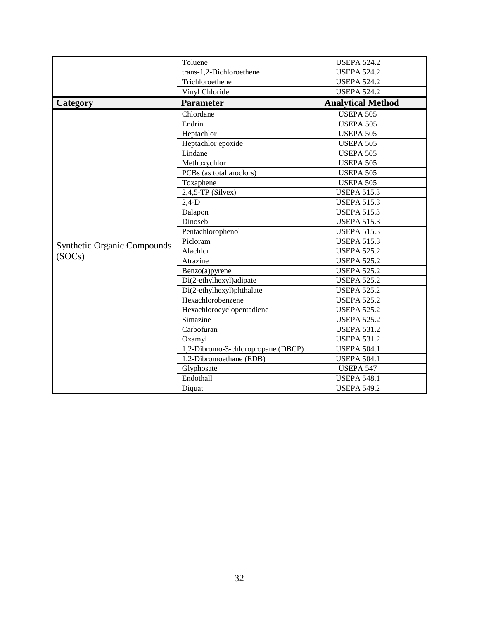|                                    | Toluene                            | <b>USEPA 524.2</b>       |
|------------------------------------|------------------------------------|--------------------------|
|                                    | trans-1,2-Dichloroethene           | <b>USEPA 524.2</b>       |
|                                    | Trichloroethene                    | <b>USEPA 524.2</b>       |
|                                    | Vinyl Chloride                     | <b>USEPA 524.2</b>       |
| Category                           | <b>Parameter</b>                   | <b>Analytical Method</b> |
|                                    | Chlordane                          | <b>USEPA 505</b>         |
|                                    | Endrin                             | <b>USEPA 505</b>         |
|                                    | Heptachlor                         | <b>USEPA 505</b>         |
|                                    | Heptachlor epoxide                 | <b>USEPA 505</b>         |
|                                    | Lindane                            | <b>USEPA 505</b>         |
|                                    | Methoxychlor                       | <b>USEPA 505</b>         |
|                                    | PCBs (as total aroclors)           | <b>USEPA 505</b>         |
|                                    | Toxaphene                          | <b>USEPA 505</b>         |
|                                    | $2,4,5$ -TP (Silvex)               | <b>USEPA 515.3</b>       |
|                                    | $2,4-D$                            | <b>USEPA 515.3</b>       |
|                                    | Dalapon                            | <b>USEPA 515.3</b>       |
|                                    | Dinoseb                            | <b>USEPA 515.3</b>       |
|                                    | Pentachlorophenol                  | <b>USEPA 515.3</b>       |
| <b>Synthetic Organic Compounds</b> | Picloram                           | <b>USEPA 515.3</b>       |
|                                    | Alachlor                           | <b>USEPA 525.2</b>       |
| (SOCs)                             | Atrazine                           | <b>USEPA 525.2</b>       |
|                                    | Benzo(a)pyrene                     | <b>USEPA 525.2</b>       |
|                                    | Di(2-ethylhexyl)adipate            | <b>USEPA 525.2</b>       |
|                                    | Di(2-ethylhexyl)phthalate          | <b>USEPA 525.2</b>       |
|                                    | Hexachlorobenzene                  | <b>USEPA 525.2</b>       |
|                                    | Hexachlorocyclopentadiene          | <b>USEPA 525.2</b>       |
|                                    | Simazine                           | <b>USEPA 525.2</b>       |
|                                    | Carbofuran                         | <b>USEPA 531.2</b>       |
|                                    | Oxamyl                             | <b>USEPA 531.2</b>       |
|                                    | 1,2-Dibromo-3-chloropropane (DBCP) | <b>USEPA 504.1</b>       |
|                                    | 1,2-Dibromoethane (EDB)            | <b>USEPA 504.1</b>       |
|                                    | Glyphosate                         | <b>USEPA 547</b>         |
|                                    | Endothall                          | <b>USEPA 548.1</b>       |
|                                    | Diquat                             | <b>USEPA 549.2</b>       |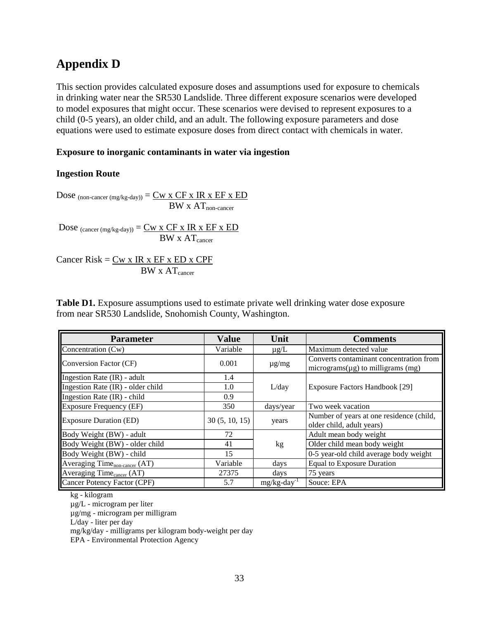# <span id="page-32-0"></span>**Appendix D**

This section provides calculated exposure doses and assumptions used for exposure to chemicals in drinking water near the SR530 Landslide. Three different exposure scenarios were developed to model exposures that might occur. These scenarios were devised to represent exposures to a child (0-5 years), an older child, and an adult. The following exposure parameters and dose equations were used to estimate exposure doses from direct contact with chemicals in water.

#### **Exposure to inorganic contaminants in water via ingestion**

#### **Ingestion Route**

Dose  $_{(non\text{-}cancer \,(mg/kg\text{-}day))} = \underline{Cw \times CFx \, IR} \times EF \times ED$  $BW \times AT_{non-cancer}$ 

Dose  $_{(cancer (mg/kg-day))} = \underline{Cw \times CF \times IR \times EF \times ED}$  $BW \times AT_{\text{cancer}}$ 

Cancer Risk =  $Cw \times IR \times EF \times ED \times CPF$  $BW \times AT_{cancer}$ 

**Table D1.** Exposure assumptions used to estimate private well drinking water dose exposure from near SR530 Landslide, Snohomish County, Washington.

| <b>Parameter</b>                          | <b>Value</b>  | Unit         | <b>Comments</b>                                                                    |
|-------------------------------------------|---------------|--------------|------------------------------------------------------------------------------------|
| Concentration (Cw)                        | Variable      | $\mu$ g/L    | Maximum detected value                                                             |
| Conversion Factor (CF)                    | 0.001         | $\mu$ g/mg   | Converts contaminant concentration from<br>micrograms( $\mu$ g) to milligrams (mg) |
| Ingestion Rate (IR) - adult               | 1.4           |              |                                                                                    |
| Ingestion Rate (IR) - older child         | 1.0           | L/day        | Exposure Factors Handbook [29]                                                     |
| Ingestion Rate (IR) - child               | 0.9           |              |                                                                                    |
| <b>Exposure Frequency (EF)</b>            | 350           | days/year    | Two week vacation                                                                  |
| <b>Exposure Duration (ED)</b>             | 30(5, 10, 15) | years        | Number of years at one residence (child,<br>older child, adult years)              |
| Body Weight (BW) - adult                  | 72            |              | Adult mean body weight                                                             |
| Body Weight (BW) - older child            | 41            | kg           | Older child mean body weight                                                       |
| Body Weight (BW) - child                  | 15            |              | 0-5 year-old child average body weight                                             |
| Averaging Time <sub>non-cancer</sub> (AT) | Variable      | days         | <b>Equal to Exposure Duration</b>                                                  |
| Averaging Time <sub>cancer</sub> (AT)     | 27375         | days         | 75 years                                                                           |
| Cancer Potency Factor (CPF)               | 5.7           | $mg/kg$ -day | Souce: EPA                                                                         |

kg - kilogram

µg/L - microgram per liter

µg/mg - microgram per milligram

L/day - liter per day

mg/kg/day - milligrams per kilogram body-weight per day

EPA - Environmental Protection Agency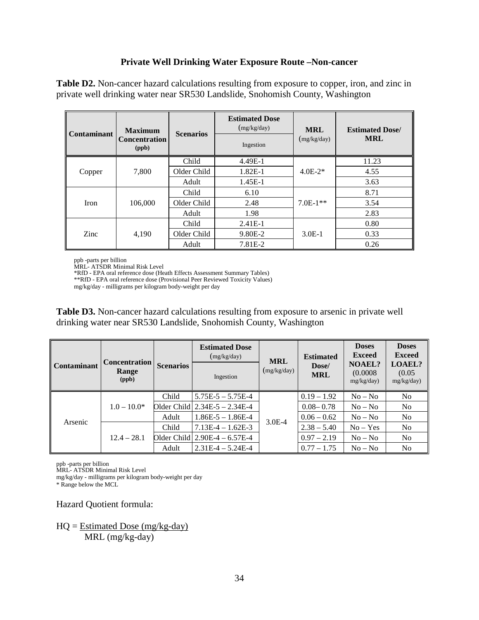#### **Private Well Drinking Water Exposure Route –Non-cancer**

**Table D2.** Non-cancer hazard calculations resulting from exposure to copper, iron, and zinc in private well drinking water near SR530 Landslide, Snohomish County, Washington

| <b>Contaminant</b> | <b>Maximum</b><br><b>Concentration</b><br>(ppb) | <b>Scenarios</b> | <b>Estimated Dose</b><br>(mg/kg/day)<br>Ingestion | <b>MRL</b><br>(mg/kg/day) | <b>Estimated Dose/</b><br><b>MRL</b> |
|--------------------|-------------------------------------------------|------------------|---------------------------------------------------|---------------------------|--------------------------------------|
| Copper             | 7,800                                           | Child            | 4.49E-1                                           | $4.0E-2*$                 | 11.23                                |
|                    |                                                 | Older Child      | $1.82E-1$                                         |                           | 4.55                                 |
|                    |                                                 | Adult            | $1.45E-1$                                         |                           | 3.63                                 |
| <b>Iron</b>        | 106,000                                         | Child            | 6.10                                              | $7.0E-1**$                | 8.71                                 |
|                    |                                                 | Older Child      | 2.48                                              |                           | 3.54                                 |
|                    |                                                 | Adult            | 1.98                                              |                           | 2.83                                 |
| Zinc               | 4,190                                           | Child            | $2.41E-1$                                         | $3.0E-1$                  | 0.80                                 |
|                    |                                                 | Older Child      | 9.80E-2                                           |                           | 0.33                                 |
|                    |                                                 | Adult            | 7.81E-2                                           |                           | 0.26                                 |

ppb -parts per billion

MRL- ATSDR Minimal Risk Level

\*RfD - EPA oral reference dose (Heath Effects Assessment Summary Tables)

\*\*RfD - EPA oral reference dose (Provisional Peer Reviewed Toxicity Values)

mg/kg/day - milligrams per kilogram body-weight per day

**Table D3.** Non-cancer hazard calculations resulting from exposure to arsenic in private well drinking water near SR530 Landslide, Snohomish County, Washington

| Contaminant | <b>Concentration</b><br>Range<br>(ppb) | <b>Scenarios</b> | <b>Estimated Dose</b><br>(mg/kg/day)<br>Ingestion | <b>MRL</b><br>(mg/kg/day) | <b>Estimated</b><br>Dose/<br><b>MRL</b> | <b>Doses</b><br><b>Exceed</b><br><b>NOAEL?</b><br>(0.0008)<br>mg/kg/day) | <b>Doses</b><br><b>Exceed</b><br>LOAEL?<br>(0.05)<br>mg/kg/day) |
|-------------|----------------------------------------|------------------|---------------------------------------------------|---------------------------|-----------------------------------------|--------------------------------------------------------------------------|-----------------------------------------------------------------|
| Arsenic     | $1.0 - 10.0*$                          | Child            | $5.75E - 5 - 5.75E - 4$                           | $3.0E-4$                  | $0.19 - 1.92$                           | $No - No$                                                                | N <sub>0</sub>                                                  |
|             |                                        |                  | Older Child $2.34E-5 - 2.34E-4$                   |                           | $0.08 - 0.78$                           | $No - No$                                                                | N <sub>0</sub>                                                  |
|             |                                        | Adult            | $1.86E - 5 - 1.86E - 4$                           |                           | $0.06 - 0.62$                           | $No - No$                                                                | N <sub>0</sub>                                                  |
|             | $12.4 - 28.1$                          | Child            | $7.13E-4 - 1.62E-3$                               |                           | $2.38 - 5.40$                           | $No - Yes$                                                               | N <sub>0</sub>                                                  |
|             |                                        |                  | Older Child $2.90E-4 - 6.57E-4$                   |                           | $0.97 - 2.19$                           | $No - No$                                                                | N <sub>0</sub>                                                  |
|             |                                        | Adult            | $2.31E-4 - 5.24E-4$                               |                           | $0.77 - 1.75$                           | $No - No$                                                                | N <sub>0</sub>                                                  |

ppb -parts per billion

MRL- ATSDR Minimal Risk Level

mg/kg/day - milligrams per kilogram body-weight per day

\* Range below the MCL

Hazard Quotient formula:

 $HQ = Estimated$  Dose (mg/kg-day) MRL (mg/kg-day)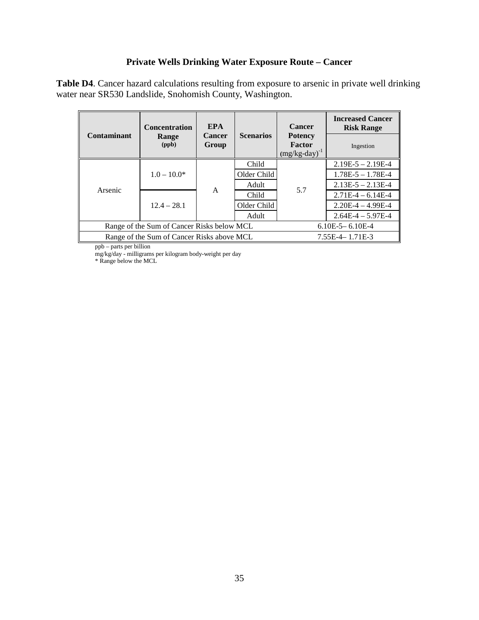#### **Private Wells Drinking Water Exposure Route – Cancer**

**Table D4**. Cancer hazard calculations resulting from exposure to arsenic in private well drinking water near SR530 Landslide, Snohomish County, Washington.

|                                            | <b>Concentration</b> | <b>EPA</b><br><b>Cancer</b><br>Group | <b>Scenarios</b> | Cancer<br><b>Potency</b><br>Factor<br>$(mg/kg-day)^{-1}$ | <b>Increased Cancer</b><br><b>Risk Range</b> |
|--------------------------------------------|----------------------|--------------------------------------|------------------|----------------------------------------------------------|----------------------------------------------|
| Contaminant                                | Range<br>(ppb)       |                                      |                  |                                                          | Ingestion                                    |
| Arsenic                                    | $1.0 - 10.0*$        |                                      | Child            |                                                          | $2.19E - 5 - 2.19E - 4$                      |
|                                            |                      |                                      | Older Child      |                                                          | $1.78E - 5 - 1.78E - 4$                      |
|                                            |                      | A                                    | Adult            | 5.7                                                      | $2.13E-5 - 2.13E-4$                          |
|                                            |                      |                                      | Child            |                                                          | $2.71E-4 - 6.14E-4$                          |
|                                            | $12.4 - 28.1$        |                                      | Older Child      |                                                          | $2.20E-4 - 4.99E-4$                          |
|                                            |                      |                                      | Adult            |                                                          | $2.64E-4 - 5.97E-4$                          |
| Range of the Sum of Cancer Risks below MCL |                      |                                      |                  |                                                          | $6.10E - 5 - 6.10E - 4$                      |
| Range of the Sum of Cancer Risks above MCL |                      |                                      |                  |                                                          | $7.55E-4-1.71E-3$                            |

ppb – parts per billion

mg/kg/day - milligrams per kilogram body-weight per day

\* Range below the MCL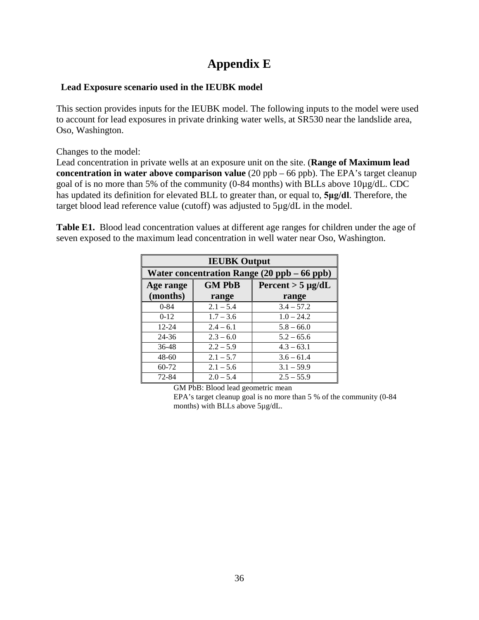# **Appendix E**

#### <span id="page-35-0"></span>**Lead Exposure scenario used in the IEUBK model**

This section provides inputs for the IEUBK model. The following inputs to the model were used to account for lead exposures in private drinking water wells, at SR530 near the landslide area, Oso, Washington.

Changes to the model:

Lead concentration in private wells at an exposure unit on the site. (**Range of Maximum lead concentration in water above comparison value** (20 ppb – 66 ppb). The EPA's target cleanup goal of is no more than 5% of the community (0-84 months) with BLLs above 10µg/dL. CDC has updated its definition for elevated BLL to greater than, or equal to, **5μg/dl**. Therefore, the target blood lead reference value (cutoff) was adjusted to 5µg/dL in the model.

**Table E1.** Blood lead concentration values at different age ranges for children under the age of seven exposed to the maximum lead concentration in well water near Oso, Washington.

| <b>IEUBK</b> Output                         |               |                     |  |  |
|---------------------------------------------|---------------|---------------------|--|--|
| Water concentration Range (20 ppb – 66 ppb) |               |                     |  |  |
| Age range                                   | <b>GM PbB</b> | Percent $>$ 5 µg/dL |  |  |
| (months)                                    | range         | range               |  |  |
| $0 - 84$                                    | $2.1 - 5.4$   | $3.4 - 57.2$        |  |  |
| $0 - 12$                                    | $1.7 - 3.6$   | $1.0 - 24.2$        |  |  |
| $12 - 24$                                   | $2.4 - 6.1$   | $5.8 - 66.0$        |  |  |
| 24-36                                       | $2.3 - 6.0$   | $5.2 - 65.6$        |  |  |
| 36-48                                       | $2.2 - 5.9$   | $4.3 - 63.1$        |  |  |
| $48 - 60$                                   | $2.1 - 5.7$   | $3.6 - 61.4$        |  |  |
| 60-72                                       | $2.1 - 5.6$   | $3.1 - 59.9$        |  |  |
| 72-84                                       | $2.0 - 5.4$   | $2.5 - 55.9$        |  |  |

GM PbB: Blood lead geometric mean

EPA's target cleanup goal is no more than 5 % of the community (0-84 months) with BLLs above 5µg/dL.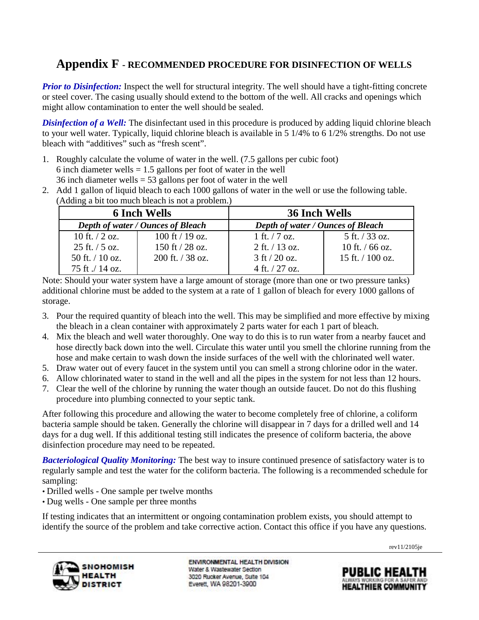### <span id="page-36-0"></span>**Appendix F - RECOMMENDED PROCEDURE FOR DISINFECTION OF WELLS**

*Prior to Disinfection:* Inspect the well for structural integrity. The well should have a tight-fitting concrete or steel cover. The casing usually should extend to the bottom of the well. All cracks and openings which might allow contamination to enter the well should be sealed.

*Disinfection of a Well:* The disinfectant used in this procedure is produced by adding liquid chlorine bleach to your well water. Typically, liquid chlorine bleach is available in 5 1/4% to 6 1/2% strengths. Do not use bleach with "additives" such as "fresh scent".

- 1. Roughly calculate the volume of water in the well. (7.5 gallons per cubic foot) 6 inch diameter wells  $= 1.5$  gallons per foot of water in the well 36 inch diameter wells = 53 gallons per foot of water in the well
- 2. Add 1 gallon of liquid bleach to each 1000 gallons of water in the well or use the following table. (Adding a bit too much bleach is not a problem.)

|                                   | <b>6 Inch Wells</b>               | 36 Inch Wells                     |                    |  |
|-----------------------------------|-----------------------------------|-----------------------------------|--------------------|--|
| Depth of water / Ounces of Bleach |                                   | Depth of water / Ounces of Bleach |                    |  |
| 10 ft. $/$ 2 oz.                  | $100 \text{ ft} / 19 \text{ oz}.$ | 1 ft. $/7$ oz.                    | $5$ ft. $/$ 33 oz. |  |
| $25 \text{ ft}$ . / 5 oz.         | 150 ft $/$ 28 oz.                 | $2$ ft. $/$ 13 oz.                | 10 ft. $/$ 66 oz.  |  |
| 50 ft. $/ 10$ oz.                 | $200$ ft. $/$ 38 oz.              | $3 \text{ ft} / 20 \text{ oz}.$   | 15 ft. $/ 100$ oz. |  |
| 75 ft ./ 14 oz.                   |                                   | $4$ ft. $/$ 27 oz.                |                    |  |

Note: Should your water system have a large amount of storage (more than one or two pressure tanks) additional chlorine must be added to the system at a rate of 1 gallon of bleach for every 1000 gallons of storage.

- 3. Pour the required quantity of bleach into the well. This may be simplified and more effective by mixing the bleach in a clean container with approximately 2 parts water for each 1 part of bleach.
- 4. Mix the bleach and well water thoroughly. One way to do this is to run water from a nearby faucet and hose directly back down into the well. Circulate this water until you smell the chlorine running from the hose and make certain to wash down the inside surfaces of the well with the chlorinated well water.
- 5. Draw water out of every faucet in the system until you can smell a strong chlorine odor in the water.
- 6. Allow chlorinated water to stand in the well and all the pipes in the system for not less than 12 hours.
- 7. Clear the well of the chlorine by running the water though an outside faucet. Do not do this flushing procedure into plumbing connected to your septic tank.

After following this procedure and allowing the water to become completely free of chlorine, a coliform bacteria sample should be taken. Generally the chlorine will disappear in 7 days for a drilled well and 14 days for a dug well. If this additional testing still indicates the presence of coliform bacteria, the above disinfection procedure may need to be repeated.

*Bacteriological Quality Monitoring:* The best way to insure continued presence of satisfactory water is to regularly sample and test the water for the coliform bacteria. The following is a recommended schedule for sampling:

- Drilled wells One sample per twelve months
- Dug wells One sample per three months

If testing indicates that an intermittent or ongoing contamination problem exists, you should attempt to identify the source of the problem and take corrective action. Contact this office if you have any questions.





ENVIRONMENTAL HEALTH DIVISION Water & Wastewater Section 3020 Rucker Avenue, Suite 104<br>Everett, WA 98201-3900

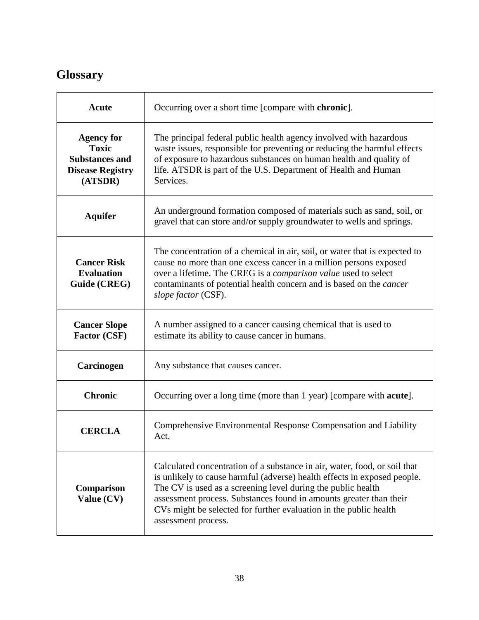# <span id="page-37-0"></span>**Glossary**

| Acute                                                                                                                                                                                                                                                                                                                                                                                                   | Occurring over a short time [compare with <b>chronic</b> ].                                                                                                                                                                                                                                                                                                                             |
|---------------------------------------------------------------------------------------------------------------------------------------------------------------------------------------------------------------------------------------------------------------------------------------------------------------------------------------------------------------------------------------------------------|-----------------------------------------------------------------------------------------------------------------------------------------------------------------------------------------------------------------------------------------------------------------------------------------------------------------------------------------------------------------------------------------|
| The principal federal public health agency involved with hazardous<br><b>Agency for</b><br><b>Toxic</b><br>waste issues, responsible for preventing or reducing the harmful effects<br>of exposure to hazardous substances on human health and quality of<br><b>Substances and</b><br>life. ATSDR is part of the U.S. Department of Health and Human<br><b>Disease Registry</b><br>Services.<br>(ATSDR) |                                                                                                                                                                                                                                                                                                                                                                                         |
| <b>Aquifer</b>                                                                                                                                                                                                                                                                                                                                                                                          | An underground formation composed of materials such as sand, soil, or<br>gravel that can store and/or supply groundwater to wells and springs.                                                                                                                                                                                                                                          |
| <b>Cancer Risk</b><br><b>Evaluation</b><br>Guide (CREG)                                                                                                                                                                                                                                                                                                                                                 | The concentration of a chemical in air, soil, or water that is expected to<br>cause no more than one excess cancer in a million persons exposed<br>over a lifetime. The CREG is a <i>comparison value</i> used to select<br>contaminants of potential health concern and is based on the <i>cancer</i><br>slope factor (CSF).                                                           |
| A number assigned to a cancer causing chemical that is used to<br><b>Cancer Slope</b><br>estimate its ability to cause cancer in humans.<br><b>Factor (CSF)</b>                                                                                                                                                                                                                                         |                                                                                                                                                                                                                                                                                                                                                                                         |
| Carcinogen                                                                                                                                                                                                                                                                                                                                                                                              | Any substance that causes cancer.                                                                                                                                                                                                                                                                                                                                                       |
| <b>Chronic</b>                                                                                                                                                                                                                                                                                                                                                                                          | Occurring over a long time (more than 1 year) [compare with <b>acute</b> ].                                                                                                                                                                                                                                                                                                             |
| <b>CERCLA</b>                                                                                                                                                                                                                                                                                                                                                                                           | Comprehensive Environmental Response Compensation and Liability<br>Act.                                                                                                                                                                                                                                                                                                                 |
| Comparison<br>Value (CV)                                                                                                                                                                                                                                                                                                                                                                                | Calculated concentration of a substance in air, water, food, or soil that<br>is unlikely to cause harmful (adverse) health effects in exposed people.<br>The CV is used as a screening level during the public health<br>assessment process. Substances found in amounts greater than their<br>CVs might be selected for further evaluation in the public health<br>assessment process. |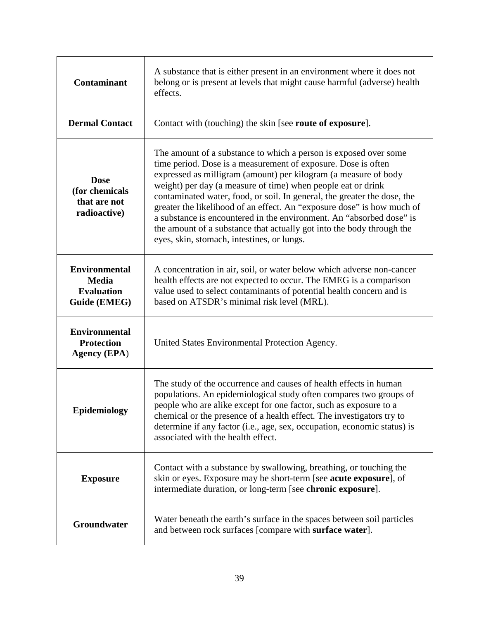| <b>Contaminant</b>                                                        | A substance that is either present in an environment where it does not<br>belong or is present at levels that might cause harmful (adverse) health<br>effects.                                                                                                                                                                                                                                                                                                                                                                                                                                                            |
|---------------------------------------------------------------------------|---------------------------------------------------------------------------------------------------------------------------------------------------------------------------------------------------------------------------------------------------------------------------------------------------------------------------------------------------------------------------------------------------------------------------------------------------------------------------------------------------------------------------------------------------------------------------------------------------------------------------|
| <b>Dermal Contact</b>                                                     | Contact with (touching) the skin [see <b>route of exposure</b> ].                                                                                                                                                                                                                                                                                                                                                                                                                                                                                                                                                         |
| <b>Dose</b><br>(for chemicals<br>that are not<br>radioactive)             | The amount of a substance to which a person is exposed over some<br>time period. Dose is a measurement of exposure. Dose is often<br>expressed as milligram (amount) per kilogram (a measure of body<br>weight) per day (a measure of time) when people eat or drink<br>contaminated water, food, or soil. In general, the greater the dose, the<br>greater the likelihood of an effect. An "exposure dose" is how much of<br>a substance is encountered in the environment. An "absorbed dose" is<br>the amount of a substance that actually got into the body through the<br>eyes, skin, stomach, intestines, or lungs. |
| <b>Environmental</b><br><b>Media</b><br><b>Evaluation</b><br>Guide (EMEG) | A concentration in air, soil, or water below which adverse non-cancer<br>health effects are not expected to occur. The EMEG is a comparison<br>value used to select contaminants of potential health concern and is<br>based on ATSDR's minimal risk level (MRL).                                                                                                                                                                                                                                                                                                                                                         |
| <b>Environmental</b><br><b>Protection</b><br><b>Agency (EPA)</b>          | United States Environmental Protection Agency.                                                                                                                                                                                                                                                                                                                                                                                                                                                                                                                                                                            |
| <b>Epidemiology</b>                                                       | The study of the occurrence and causes of health effects in human<br>populations. An epidemiological study often compares two groups of<br>people who are alike except for one factor, such as exposure to a<br>chemical or the presence of a health effect. The investigators try to<br>determine if any factor (i.e., age, sex, occupation, economic status) is<br>associated with the health effect.                                                                                                                                                                                                                   |
| <b>Exposure</b>                                                           | Contact with a substance by swallowing, breathing, or touching the<br>skin or eyes. Exposure may be short-term [see <b>acute exposure</b> ], of<br>intermediate duration, or long-term [see chronic exposure].                                                                                                                                                                                                                                                                                                                                                                                                            |
| Groundwater                                                               | Water beneath the earth's surface in the spaces between soil particles<br>and between rock surfaces [compare with surface water].                                                                                                                                                                                                                                                                                                                                                                                                                                                                                         |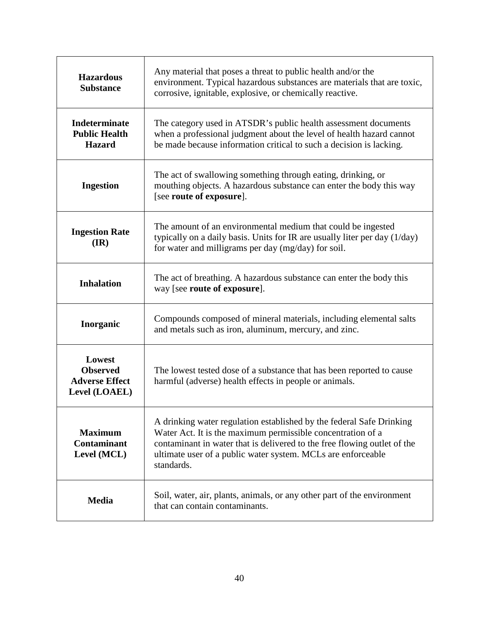| <b>Hazardous</b><br><b>Substance</b>                                | Any material that poses a threat to public health and/or the<br>environment. Typical hazardous substances are materials that are toxic,<br>corrosive, ignitable, explosive, or chemically reactive.                                                                                           |
|---------------------------------------------------------------------|-----------------------------------------------------------------------------------------------------------------------------------------------------------------------------------------------------------------------------------------------------------------------------------------------|
| <b>Indeterminate</b><br><b>Public Health</b><br><b>Hazard</b>       | The category used in ATSDR's public health assessment documents<br>when a professional judgment about the level of health hazard cannot<br>be made because information critical to such a decision is lacking.                                                                                |
| <b>Ingestion</b>                                                    | The act of swallowing something through eating, drinking, or<br>mouthing objects. A hazardous substance can enter the body this way<br>[see route of exposure].                                                                                                                               |
| <b>Ingestion Rate</b><br>$(\mathbf{IR})$                            | The amount of an environmental medium that could be ingested<br>typically on a daily basis. Units for IR are usually liter per day (1/day)<br>for water and milligrams per day (mg/day) for soil.                                                                                             |
| <b>Inhalation</b>                                                   | The act of breathing. A hazardous substance can enter the body this<br>way [see route of exposure].                                                                                                                                                                                           |
| Inorganic                                                           | Compounds composed of mineral materials, including elemental salts<br>and metals such as iron, aluminum, mercury, and zinc.                                                                                                                                                                   |
| Lowest<br><b>Observed</b><br><b>Adverse Effect</b><br>Level (LOAEL) | The lowest tested dose of a substance that has been reported to cause<br>harmful (adverse) health effects in people or animals.                                                                                                                                                               |
| <b>Maximum</b><br><b>Contaminant</b><br>Level (MCL)                 | A drinking water regulation established by the federal Safe Drinking<br>Water Act. It is the maximum permissible concentration of a<br>contaminant in water that is delivered to the free flowing outlet of the<br>ultimate user of a public water system. MCLs are enforceable<br>standards. |
| <b>Media</b>                                                        | Soil, water, air, plants, animals, or any other part of the environment<br>that can contain contaminants.                                                                                                                                                                                     |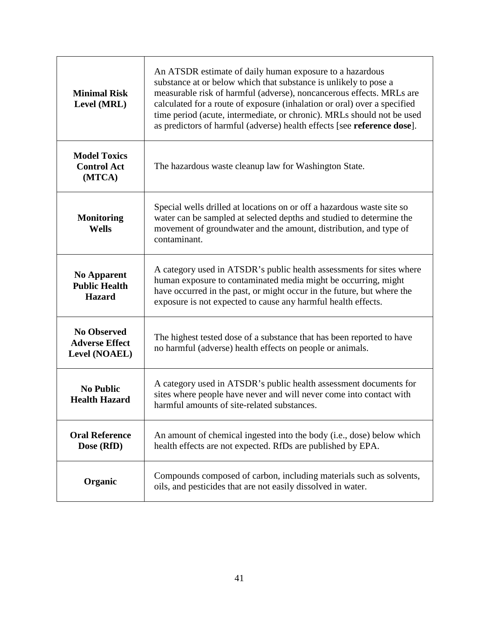| <b>Minimal Risk</b><br>Level (MRL)                           | An ATSDR estimate of daily human exposure to a hazardous<br>substance at or below which that substance is unlikely to pose a<br>measurable risk of harmful (adverse), noncancerous effects. MRLs are<br>calculated for a route of exposure (inhalation or oral) over a specified<br>time period (acute, intermediate, or chronic). MRLs should not be used<br>as predictors of harmful (adverse) health effects [see reference dose]. |
|--------------------------------------------------------------|---------------------------------------------------------------------------------------------------------------------------------------------------------------------------------------------------------------------------------------------------------------------------------------------------------------------------------------------------------------------------------------------------------------------------------------|
| <b>Model Toxics</b><br><b>Control Act</b><br>(MTCA)          | The hazardous waste cleanup law for Washington State.                                                                                                                                                                                                                                                                                                                                                                                 |
| <b>Monitoring</b><br><b>Wells</b>                            | Special wells drilled at locations on or off a hazardous waste site so<br>water can be sampled at selected depths and studied to determine the<br>movement of groundwater and the amount, distribution, and type of<br>contaminant.                                                                                                                                                                                                   |
| <b>No Apparent</b><br><b>Public Health</b><br><b>Hazard</b>  | A category used in ATSDR's public health assessments for sites where<br>human exposure to contaminated media might be occurring, might<br>have occurred in the past, or might occur in the future, but where the<br>exposure is not expected to cause any harmful health effects.                                                                                                                                                     |
| <b>No Observed</b><br><b>Adverse Effect</b><br>Level (NOAEL) | The highest tested dose of a substance that has been reported to have<br>no harmful (adverse) health effects on people or animals.                                                                                                                                                                                                                                                                                                    |
| <b>No Public</b><br><b>Health Hazard</b>                     | A category used in ATSDR's public health assessment documents for<br>sites where people have never and will never come into contact with<br>harmful amounts of site-related substances.                                                                                                                                                                                                                                               |
| <b>Oral Reference</b><br>Dose (RfD)                          | An amount of chemical ingested into the body (i.e., dose) below which<br>health effects are not expected. RfDs are published by EPA.                                                                                                                                                                                                                                                                                                  |
| Organic                                                      | Compounds composed of carbon, including materials such as solvents,<br>oils, and pesticides that are not easily dissolved in water.                                                                                                                                                                                                                                                                                                   |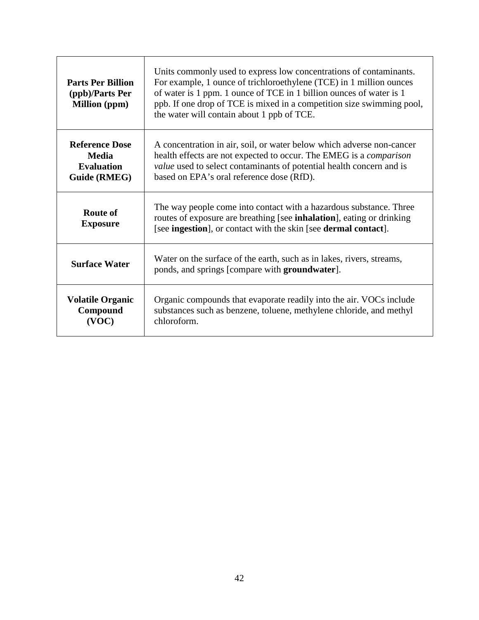| <b>Parts Per Billion</b><br>(ppb)/Parts Per<br><b>Million</b> (ppm)        | Units commonly used to express low concentrations of contaminants.<br>For example, 1 ounce of trichloroethylene (TCE) in 1 million ounces<br>of water is 1 ppm. 1 ounce of TCE in 1 billion ounces of water is 1<br>ppb. If one drop of TCE is mixed in a competition size swimming pool,<br>the water will contain about 1 ppb of TCE. |
|----------------------------------------------------------------------------|-----------------------------------------------------------------------------------------------------------------------------------------------------------------------------------------------------------------------------------------------------------------------------------------------------------------------------------------|
| <b>Reference Dose</b><br><b>Media</b><br><b>Evaluation</b><br>Guide (RMEG) | A concentration in air, soil, or water below which adverse non-cancer<br>health effects are not expected to occur. The EMEG is a <i>comparison</i><br><i>value</i> used to select contaminants of potential health concern and is<br>based on EPA's oral reference dose (RfD).                                                          |
| <b>Route of</b><br><b>Exposure</b>                                         | The way people come into contact with a hazardous substance. Three<br>routes of exposure are breathing [see <b>inhalation</b> ], eating or drinking<br>[see ingestion], or contact with the skin [see dermal contact].                                                                                                                  |
| <b>Surface Water</b>                                                       | Water on the surface of the earth, such as in lakes, rivers, streams,<br>ponds, and springs [compare with groundwater].                                                                                                                                                                                                                 |
| <b>Volatile Organic</b><br>Compound<br>(VOC)                               | Organic compounds that evaporate readily into the air. VOCs include<br>substances such as benzene, toluene, methylene chloride, and methyl<br>chloroform.                                                                                                                                                                               |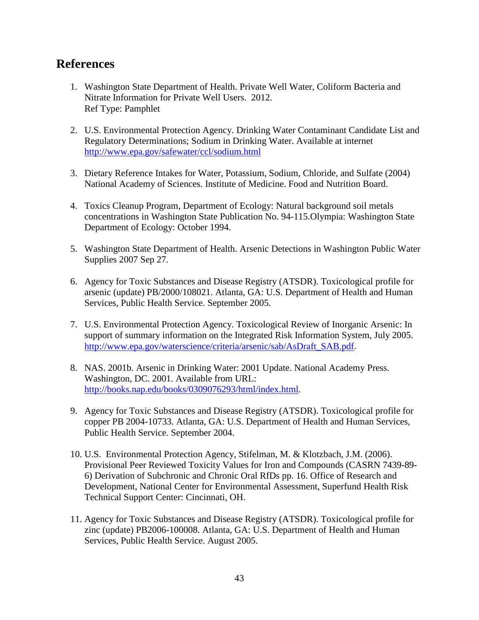### <span id="page-42-0"></span>**References**

- 1. Washington State Department of Health. Private Well Water, Coliform Bacteria and Nitrate Information for Private Well Users. 2012. Ref Type: Pamphlet
- 2. U.S. Environmental Protection Agency. Drinking Water Contaminant Candidate List and Regulatory Determinations; Sodium in Drinking Water. Available at internet <http://www.epa.gov/safewater/ccl/sodium.html>
- 3. Dietary Reference Intakes for Water, Potassium, Sodium, Chloride, and Sulfate (2004) National Academy of Sciences. Institute of Medicine. Food and Nutrition Board.
- 4. Toxics Cleanup Program, Department of Ecology: Natural background soil metals concentrations in Washington State Publication No. 94-115.Olympia: Washington State Department of Ecology: October 1994.
- 5. Washington State Department of Health. Arsenic Detections in Washington Public Water Supplies 2007 Sep 27.
- 6. Agency for Toxic Substances and Disease Registry (ATSDR). Toxicological profile for arsenic (update) PB/2000/108021. Atlanta, GA: U.S. Department of Health and Human Services, Public Health Service. September 2005.
- 7. U.S. Environmental Protection Agency. Toxicological Review of Inorganic Arsenic: In support of summary information on the Integrated Risk Information System, July 2005. [http://www.epa.gov/waterscience/criteria/arsenic/sab/AsDraft\\_SAB.pdf.](http://www.epa.gov/waterscience/criteria/arsenic/sab/AsDraft_SAB.pdf)
- 8. NAS. 2001b. Arsenic in Drinking Water: 2001 Update. National Academy Press. Washington, DC. 2001. Available from URL: [http://books.nap.edu/books/0309076293/html/index.html.](http://books.nap.edu/books/0309076293/html/index.html)
- 9. Agency for Toxic Substances and Disease Registry (ATSDR). Toxicological profile for copper PB 2004-10733. Atlanta, GA: U.S. Department of Health and Human Services, Public Health Service. September 2004.
- 10. U.S. Environmental Protection Agency, Stifelman, M. & Klotzbach, J.M. (2006). Provisional Peer Reviewed Toxicity Values for Iron and Compounds (CASRN 7439-89- 6) Derivation of Subchronic and Chronic Oral RfDs pp. 16. Office of Research and Development, National Center for Environmental Assessment, Superfund Health Risk Technical Support Center: Cincinnati, OH.
- 11. Agency for Toxic Substances and Disease Registry (ATSDR). Toxicological profile for zinc (update) PB2006-100008. Atlanta, GA: U.S. Department of Health and Human Services, Public Health Service. August 2005.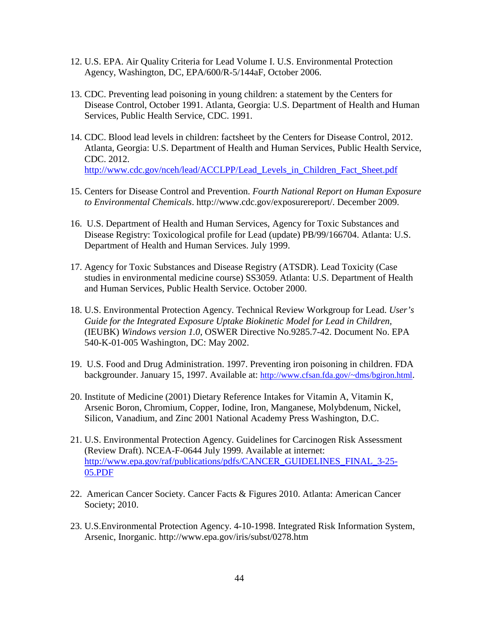- 12. U.S. EPA. Air Quality Criteria for Lead Volume I. U.S. Environmental Protection Agency, Washington, DC, EPA/600/R-5/144aF, October 2006.
- 13. CDC. Preventing lead poisoning in young children: a statement by the Centers for Disease Control, October 1991. Atlanta, Georgia: U.S. Department of Health and Human Services, Public Health Service, CDC. 1991.
- 14. CDC. Blood lead levels in children: factsheet by the Centers for Disease Control, 2012. Atlanta, Georgia: U.S. Department of Health and Human Services, Public Health Service, CDC. 2012. [http://www.cdc.gov/nceh/lead/ACCLPP/Lead\\_Levels\\_in\\_Children\\_Fact\\_Sheet.pdf](http://www.cdc.gov/nceh/lead/ACCLPP/Lead_Levels_in_Children_Fact_Sheet.pdf)
- 15. Centers for Disease Control and Prevention. *Fourth National Report on Human Exposure to Environmental Chemicals*. http://www.cdc.gov/exposurereport/. December 2009.
- 16. U.S. Department of Health and Human Services, Agency for Toxic Substances and Disease Registry: Toxicological profile for Lead (update) PB/99/166704. Atlanta: U.S. Department of Health and Human Services. July 1999.
- 17. Agency for Toxic Substances and Disease Registry (ATSDR). Lead Toxicity (Case studies in environmental medicine course) SS3059. Atlanta: U.S. Department of Health and Human Services, Public Health Service. October 2000.
- 18. U.S. Environmental Protection Agency. Technical Review Workgroup for Lead. *User's Guide for the Integrated Exposure Uptake Biokinetic Model for Lead in Children,*  (IEUBK) *Windows version 1.0*, OSWER Directive No.9285.7-42. Document No. EPA 540-K-01-005 Washington, DC: May 2002.
- 19. U.S. Food and Drug Administration. 1997. Preventing iron poisoning in children. FDA backgrounder. January 15, 1997. Available at: [http://www.cfsan.fda.gov/~dms/bgiron.html.](http://www.cfsan.fda.gov/~dms/bgiron.html)
- 20. Institute of Medicine (2001) Dietary Reference Intakes for Vitamin A, Vitamin K, Arsenic Boron, Chromium, Copper, Iodine, Iron, Manganese, Molybdenum, Nickel, Silicon, Vanadium, and Zinc 2001 National Academy Press Washington, D.C.
- 21. U.S. Environmental Protection Agency. Guidelines for Carcinogen Risk Assessment (Review Draft). NCEA-F-0644 July 1999. Available at internet: [http://www.epa.gov/raf/publications/pdfs/CANCER\\_GUIDELINES\\_FINAL\\_3-25-](http://www.epa.gov/raf/publications/pdfs/CANCER_GUIDELINES_FINAL_3-25-05.PDF) [05.PDF](http://www.epa.gov/raf/publications/pdfs/CANCER_GUIDELINES_FINAL_3-25-05.PDF)
- 22. American Cancer Society. Cancer Facts & Figures 2010. Atlanta: American Cancer Society; 2010.
- 23. U.S.Environmental Protection Agency. 4-10-1998. Integrated Risk Information System, Arsenic, Inorganic. http://www.epa.gov/iris/subst/0278.htm